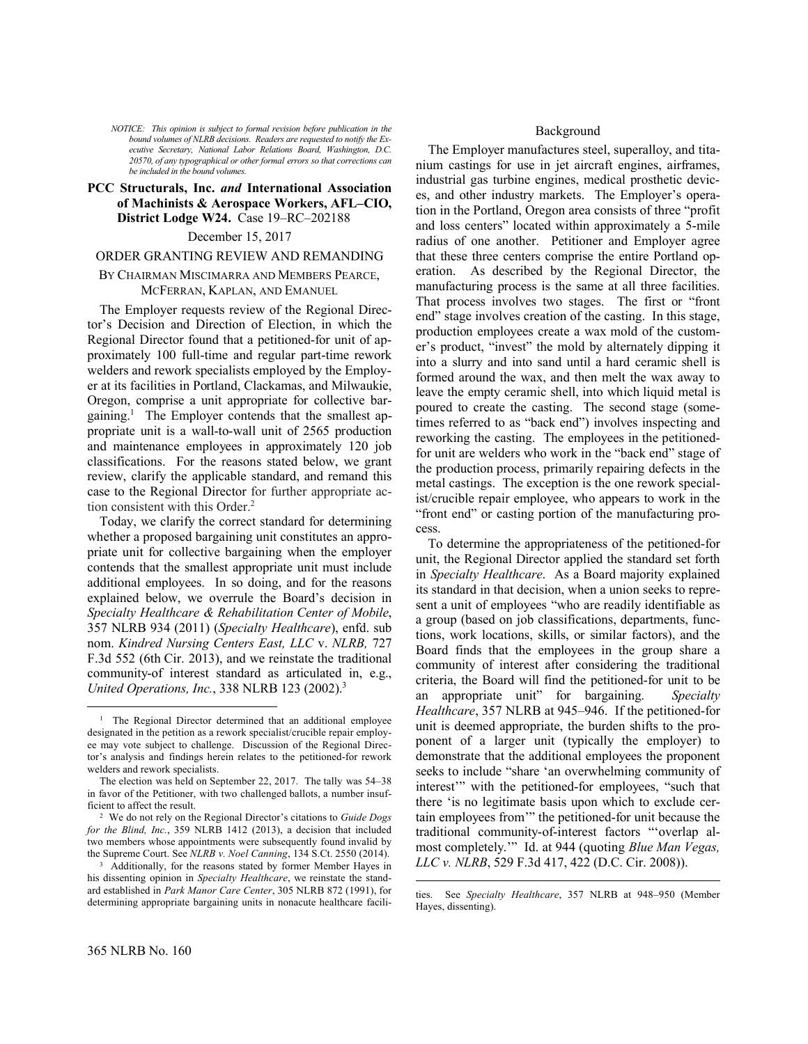*NOTICE: This opinion is subject to formal revision before publication in the bound volumes of NLRB decisions. Readers are requested to notify the Executive Secretary, National Labor Relations Board, Washington, D.C. 20570, of any typographical or other formal errors so that corrections can be included in the bound volumes.*

## **PCC Structurals, Inc.** *and* **International Association of Machinists & Aerospace Workers, AFL–CIO, District Lodge W24.** Case 19–RC–202188

### December 15, 2017

#### ORDER GRANTING REVIEW AND REMANDING

## BY CHAIRMAN MISCIMARRA AND MEMBERS PEARCE, MCFERRAN, KAPLAN, AND EMANUEL

The Employer requests review of the Regional Director's Decision and Direction of Election, in which the Regional Director found that a petitioned-for unit of approximately 100 full-time and regular part-time rework welders and rework specialists employed by the Employer at its facilities in Portland, Clackamas, and Milwaukie, Oregon, comprise a unit appropriate for collective bargaining.<sup>1</sup> The Employer contends that the smallest appropriate unit is a wall-to-wall unit of 2565 production and maintenance employees in approximately 120 job classifications. For the reasons stated below, we grant review, clarify the applicable standard, and remand this case to the Regional Director for further appropriate action consistent with this Order.<sup>2</sup>

Today, we clarify the correct standard for determining whether a proposed bargaining unit constitutes an appropriate unit for collective bargaining when the employer contends that the smallest appropriate unit must include additional employees. In so doing, and for the reasons explained below, we overrule the Board's decision in *Specialty Healthcare & Rehabilitation Center of Mobile*, 357 NLRB 934 (2011) (*Specialty Healthcare*), enfd. sub nom. *Kindred Nursing Centers East, LLC* v. *NLRB,* 727 F.3d 552 (6th Cir. 2013), and we reinstate the traditional community-of interest standard as articulated in, e.g., *United Operations, Inc.*, 338 NLRB 123 (2002). 3

The Employer manufactures steel, superalloy, and titanium castings for use in jet aircraft engines, airframes, industrial gas turbine engines, medical prosthetic devices, and other industry markets. The Employer's operation in the Portland, Oregon area consists of three "profit and loss centers" located within approximately a 5-mile radius of one another. Petitioner and Employer agree that these three centers comprise the entire Portland operation. As described by the Regional Director, the manufacturing process is the same at all three facilities. That process involves two stages. The first or "front end" stage involves creation of the casting. In this stage, production employees create a wax mold of the customer's product, "invest" the mold by alternately dipping it into a slurry and into sand until a hard ceramic shell is formed around the wax, and then melt the wax away to leave the empty ceramic shell, into which liquid metal is poured to create the casting. The second stage (sometimes referred to as "back end") involves inspecting and reworking the casting. The employees in the petitionedfor unit are welders who work in the "back end" stage of the production process, primarily repairing defects in the metal castings. The exception is the one rework specialist/crucible repair employee, who appears to work in the "front end" or casting portion of the manufacturing process.

To determine the appropriateness of the petitioned-for unit, the Regional Director applied the standard set forth in *Specialty Healthcare*. As a Board majority explained its standard in that decision, when a union seeks to represent a unit of employees "who are readily identifiable as a group (based on job classifications, departments, functions, work locations, skills, or similar factors), and the Board finds that the employees in the group share a community of interest after considering the traditional criteria, the Board will find the petitioned-for unit to be an appropriate unit" for bargaining. *Specialty Healthcare*, 357 NLRB at 945–946. If the petitioned-for unit is deemed appropriate, the burden shifts to the proponent of a larger unit (typically the employer) to demonstrate that the additional employees the proponent seeks to include "share 'an overwhelming community of interest'" with the petitioned-for employees, "such that there 'is no legitimate basis upon which to exclude certain employees from'" the petitioned-for unit because the traditional community-of-interest factors "'overlap almost completely.'" Id. at 944 (quoting *Blue Man Vegas, LLC v. NLRB*, 529 F.3d 417, 422 (D.C. Cir. 2008)).

l

<u>.</u>

<sup>&</sup>lt;sup>1</sup> The Regional Director determined that an additional employee designated in the petition as a rework specialist/crucible repair employee may vote subject to challenge. Discussion of the Regional Director's analysis and findings herein relates to the petitioned-for rework welders and rework specialists.

The election was held on September 22, 2017. The tally was 54–38 in favor of the Petitioner, with two challenged ballots, a number insufficient to affect the result.

<sup>2</sup> We do not rely on the Regional Director's citations to *Guide Dogs for the Blind, Inc.*, 359 NLRB 1412 (2013), a decision that included two members whose appointments were subsequently found invalid by the Supreme Court. See *NLRB v. Noel Canning*, 134 S.Ct. 2550 (2014).

<sup>&</sup>lt;sup>3</sup> Additionally, for the reasons stated by former Member Hayes in his dissenting opinion in *Specialty Healthcare*, we reinstate the standard established in *Park Manor Care Center*, 305 NLRB 872 (1991), for determining appropriate bargaining units in nonacute healthcare facili-

ties. See *Specialty Healthcare*, 357 NLRB at 948–950 (Member Hayes, dissenting).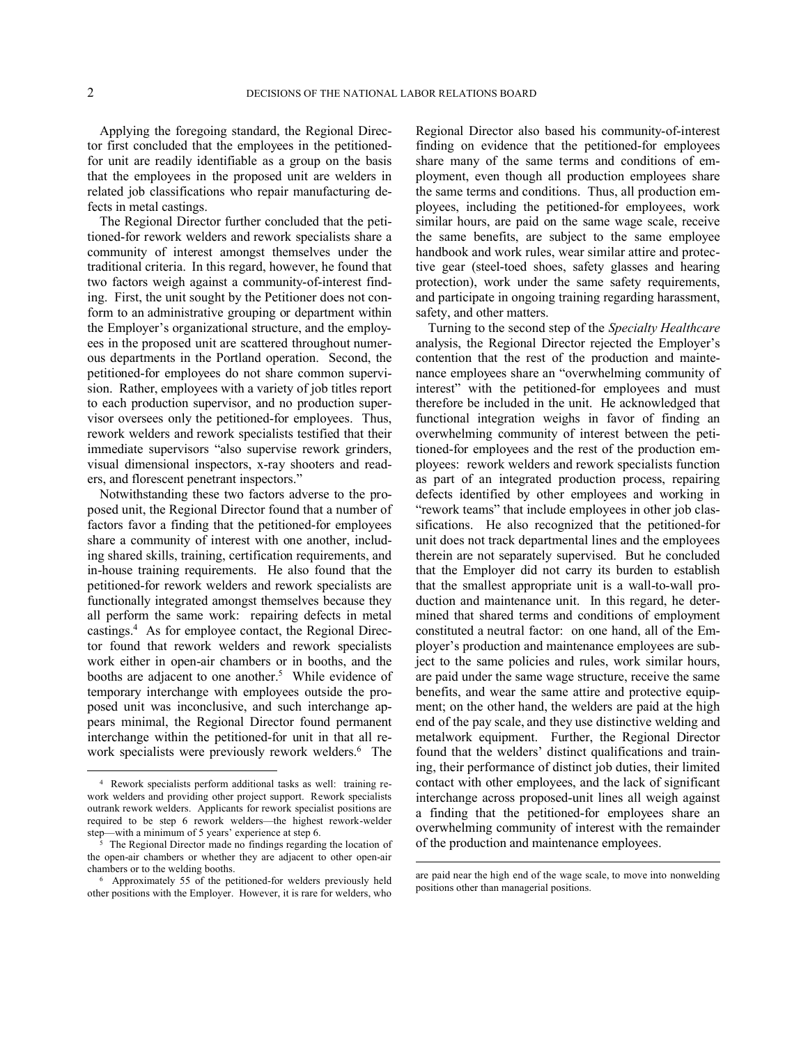1

Applying the foregoing standard, the Regional Director first concluded that the employees in the petitionedfor unit are readily identifiable as a group on the basis that the employees in the proposed unit are welders in related job classifications who repair manufacturing defects in metal castings.

The Regional Director further concluded that the petitioned-for rework welders and rework specialists share a community of interest amongst themselves under the traditional criteria. In this regard, however, he found that two factors weigh against a community-of-interest finding. First, the unit sought by the Petitioner does not conform to an administrative grouping or department within the Employer's organizational structure, and the employees in the proposed unit are scattered throughout numerous departments in the Portland operation. Second, the petitioned-for employees do not share common supervision. Rather, employees with a variety of job titles report to each production supervisor, and no production supervisor oversees only the petitioned-for employees. Thus, rework welders and rework specialists testified that their immediate supervisors "also supervise rework grinders, visual dimensional inspectors, x-ray shooters and readers, and florescent penetrant inspectors."

Notwithstanding these two factors adverse to the proposed unit, the Regional Director found that a number of factors favor a finding that the petitioned-for employees share a community of interest with one another, including shared skills, training, certification requirements, and in-house training requirements. He also found that the petitioned-for rework welders and rework specialists are functionally integrated amongst themselves because they all perform the same work: repairing defects in metal castings.<sup>4</sup> As for employee contact, the Regional Director found that rework welders and rework specialists work either in open-air chambers or in booths, and the booths are adjacent to one another.<sup>5</sup> While evidence of temporary interchange with employees outside the proposed unit was inconclusive, and such interchange appears minimal, the Regional Director found permanent interchange within the petitioned-for unit in that all rework specialists were previously rework welders.<sup>6</sup> The Regional Director also based his community-of-interest finding on evidence that the petitioned-for employees share many of the same terms and conditions of employment, even though all production employees share the same terms and conditions. Thus, all production employees, including the petitioned-for employees, work similar hours, are paid on the same wage scale, receive the same benefits, are subject to the same employee handbook and work rules, wear similar attire and protective gear (steel-toed shoes, safety glasses and hearing protection), work under the same safety requirements, and participate in ongoing training regarding harassment, safety, and other matters.

Turning to the second step of the *Specialty Healthcare* analysis, the Regional Director rejected the Employer's contention that the rest of the production and maintenance employees share an "overwhelming community of interest" with the petitioned-for employees and must therefore be included in the unit. He acknowledged that functional integration weighs in favor of finding an overwhelming community of interest between the petitioned-for employees and the rest of the production employees: rework welders and rework specialists function as part of an integrated production process, repairing defects identified by other employees and working in "rework teams" that include employees in other job classifications. He also recognized that the petitioned-for unit does not track departmental lines and the employees therein are not separately supervised. But he concluded that the Employer did not carry its burden to establish that the smallest appropriate unit is a wall-to-wall production and maintenance unit. In this regard, he determined that shared terms and conditions of employment constituted a neutral factor: on one hand, all of the Employer's production and maintenance employees are subject to the same policies and rules, work similar hours, are paid under the same wage structure, receive the same benefits, and wear the same attire and protective equipment; on the other hand, the welders are paid at the high end of the pay scale, and they use distinctive welding and metalwork equipment. Further, the Regional Director found that the welders' distinct qualifications and training, their performance of distinct job duties, their limited contact with other employees, and the lack of significant interchange across proposed-unit lines all weigh against a finding that the petitioned-for employees share an overwhelming community of interest with the remainder of the production and maintenance employees.

 $\overline{a}$ 

<sup>4</sup> Rework specialists perform additional tasks as well: training rework welders and providing other project support. Rework specialists outrank rework welders. Applicants for rework specialist positions are required to be step 6 rework welders—the highest rework-welder step—with a minimum of 5 years' experience at step 6.

<sup>5</sup> The Regional Director made no findings regarding the location of the open-air chambers or whether they are adjacent to other open-air chambers or to the welding booths.

<sup>6</sup> Approximately 55 of the petitioned-for welders previously held other positions with the Employer. However, it is rare for welders, who

are paid near the high end of the wage scale, to move into nonwelding positions other than managerial positions.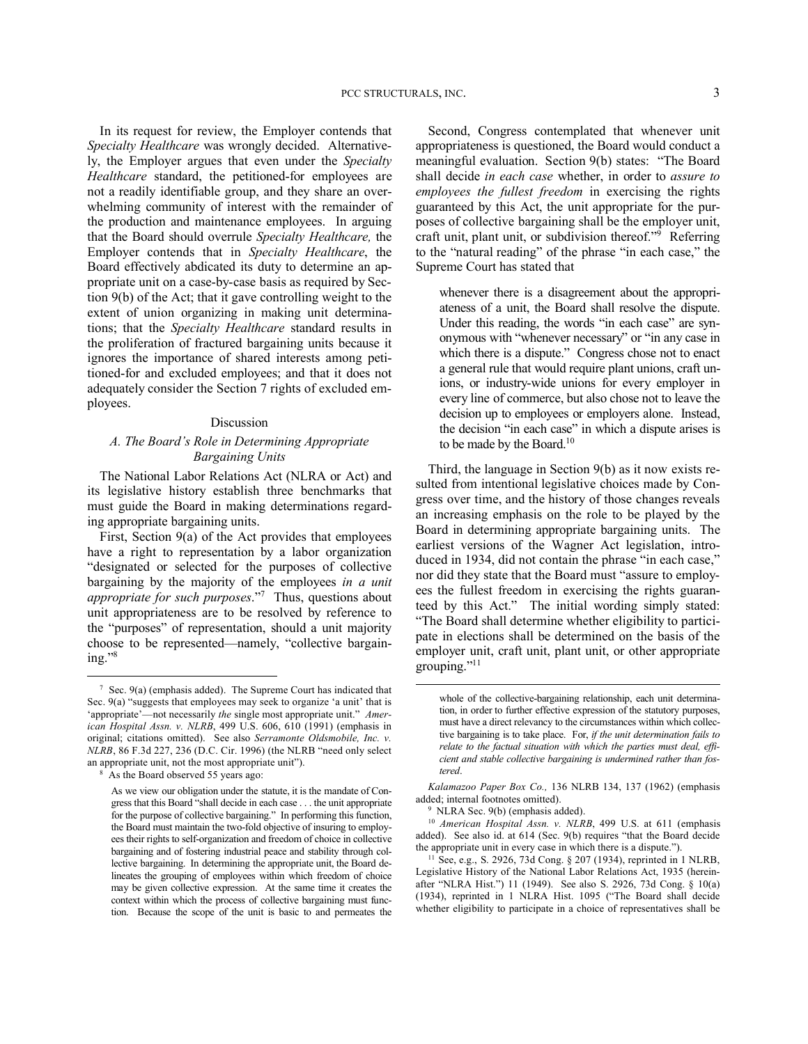In its request for review, the Employer contends that *Specialty Healthcare* was wrongly decided. Alternatively, the Employer argues that even under the *Specialty Healthcare* standard, the petitioned-for employees are not a readily identifiable group, and they share an overwhelming community of interest with the remainder of the production and maintenance employees. In arguing that the Board should overrule *Specialty Healthcare,* the Employer contends that in *Specialty Healthcare*, the Board effectively abdicated its duty to determine an appropriate unit on a case-by-case basis as required by Section 9(b) of the Act; that it gave controlling weight to the extent of union organizing in making unit determinations; that the *Specialty Healthcare* standard results in the proliferation of fractured bargaining units because it ignores the importance of shared interests among petitioned-for and excluded employees; and that it does not adequately consider the Section 7 rights of excluded employees.

#### Discussion

## *A. The Board's Role in Determining Appropriate Bargaining Units*

The National Labor Relations Act (NLRA or Act) and its legislative history establish three benchmarks that must guide the Board in making determinations regarding appropriate bargaining units.

First, Section 9(a) of the Act provides that employees have a right to representation by a labor organization "designated or selected for the purposes of collective bargaining by the majority of the employees *in a unit appropriate for such purposes*."<sup>7</sup> Thus, questions about unit appropriateness are to be resolved by reference to the "purposes" of representation, should a unit majority choose to be represented—namely, "collective bargaining."<sup>8</sup>

<u>.</u>

Second, Congress contemplated that whenever unit appropriateness is questioned, the Board would conduct a meaningful evaluation. Section 9(b) states: "The Board shall decide *in each case* whether, in order to *assure to employees the fullest freedom* in exercising the rights guaranteed by this Act, the unit appropriate for the purposes of collective bargaining shall be the employer unit, craft unit, plant unit, or subdivision thereof."<sup>9</sup> Referring to the "natural reading" of the phrase "in each case," the Supreme Court has stated that

whenever there is a disagreement about the appropriateness of a unit, the Board shall resolve the dispute. Under this reading, the words "in each case" are synonymous with "whenever necessary" or "in any case in which there is a dispute." Congress chose not to enact a general rule that would require plant unions, craft unions, or industry-wide unions for every employer in every line of commerce, but also chose not to leave the decision up to employees or employers alone. Instead, the decision "in each case" in which a dispute arises is to be made by the Board.<sup>10</sup>

Third, the language in Section 9(b) as it now exists resulted from intentional legislative choices made by Congress over time, and the history of those changes reveals an increasing emphasis on the role to be played by the Board in determining appropriate bargaining units. The earliest versions of the Wagner Act legislation, introduced in 1934, did not contain the phrase "in each case," nor did they state that the Board must "assure to employees the fullest freedom in exercising the rights guaranteed by this Act." The initial wording simply stated: "The Board shall determine whether eligibility to participate in elections shall be determined on the basis of the employer unit, craft unit, plant unit, or other appropriate grouping."<sup>11</sup>

<sup>7</sup> Sec. 9(a) (emphasis added). The Supreme Court has indicated that Sec. 9(a) "suggests that employees may seek to organize 'a unit' that is 'appropriate'—not necessarily *the* single most appropriate unit." *American Hospital Assn. v. NLRB*, 499 U.S. 606, 610 (1991) (emphasis in original; citations omitted). See also *Serramonte Oldsmobile, Inc. v. NLRB*, 86 F.3d 227, 236 (D.C. Cir. 1996) (the NLRB "need only select an appropriate unit, not the most appropriate unit").

<sup>8</sup> As the Board observed 55 years ago:

As we view our obligation under the statute, it is the mandate of Congress that this Board "shall decide in each case . . . the unit appropriate for the purpose of collective bargaining." In performing this function, the Board must maintain the two-fold objective of insuring to employees their rights to self-organization and freedom of choice in collective bargaining and of fostering industrial peace and stability through collective bargaining. In determining the appropriate unit, the Board delineates the grouping of employees within which freedom of choice may be given collective expression. At the same time it creates the context within which the process of collective bargaining must function. Because the scope of the unit is basic to and permeates the

whole of the collective-bargaining relationship, each unit determination, in order to further effective expression of the statutory purposes, must have a direct relevancy to the circumstances within which collective bargaining is to take place. For, *if the unit determination fails to relate to the factual situation with which the parties must deal, efficient and stable collective bargaining is undermined rather than fostered*.

*Kalamazoo Paper Box Co.,* 136 NLRB 134, 137 (1962) (emphasis added; internal footnotes omitted).

<sup>9</sup> NLRA Sec. 9(b) (emphasis added).

<sup>10</sup> *American Hospital Assn. v. NLRB*, 499 U.S. at 611 (emphasis added). See also id. at 614 (Sec. 9(b) requires "that the Board decide the appropriate unit in every case in which there is a dispute.").

<sup>11</sup> See, e.g., S. 2926, 73d Cong. § 207 (1934), reprinted in 1 NLRB, Legislative History of the National Labor Relations Act, 1935 (hereinafter "NLRA Hist.") 11 (1949). See also S. 2926, 73d Cong. § 10(a) (1934), reprinted in 1 NLRA Hist. 1095 ("The Board shall decide whether eligibility to participate in a choice of representatives shall be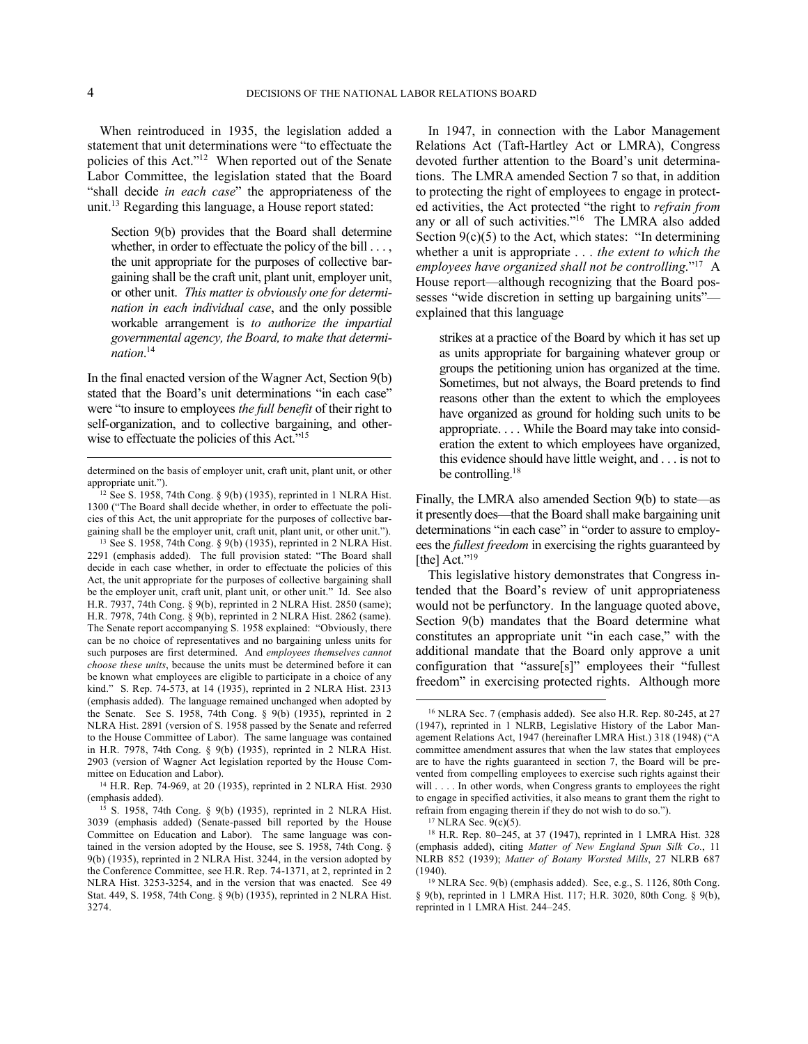$\overline{a}$ 

When reintroduced in 1935, the legislation added a statement that unit determinations were "to effectuate the policies of this Act."<sup>12</sup> When reported out of the Senate Labor Committee, the legislation stated that the Board "shall decide *in each case*" the appropriateness of the unit.<sup>13</sup> Regarding this language, a House report stated:

Section 9(b) provides that the Board shall determine whether, in order to effectuate the policy of the bill . . . , the unit appropriate for the purposes of collective bargaining shall be the craft unit, plant unit, employer unit, or other unit. *This matter is obviously one for determination in each individual case*, and the only possible workable arrangement is *to authorize the impartial governmental agency, the Board, to make that determination*. 14

In the final enacted version of the Wagner Act, Section 9(b) stated that the Board's unit determinations "in each case" were "to insure to employees *the full benefit* of their right to self-organization, and to collective bargaining, and otherwise to effectuate the policies of this Act."<sup>15</sup>

2903 (version of Wagner Act legislation reported by the House Committee on Education and Labor).

<sup>14</sup> H.R. Rep. 74-969, at 20 (1935), reprinted in 2 NLRA Hist. 2930 (emphasis added).

In 1947, in connection with the Labor Management Relations Act (Taft-Hartley Act or LMRA), Congress devoted further attention to the Board's unit determinations. The LMRA amended Section 7 so that, in addition to protecting the right of employees to engage in protected activities, the Act protected "the right to *refrain from* any or all of such activities."<sup>16</sup> The LMRA also added Section  $9(c)(5)$  to the Act, which states: "In determining whether a unit is appropriate . . . *the extent to which the employees have organized shall not be controlling*."<sup>17</sup> A House report—although recognizing that the Board possesses "wide discretion in setting up bargaining units" explained that this language

strikes at a practice of the Board by which it has set up as units appropriate for bargaining whatever group or groups the petitioning union has organized at the time. Sometimes, but not always, the Board pretends to find reasons other than the extent to which the employees have organized as ground for holding such units to be appropriate. . . . While the Board may take into consideration the extent to which employees have organized, this evidence should have little weight, and . . . is not to be controlling.<sup>18</sup>

Finally, the LMRA also amended Section 9(b) to state—as it presently does—that the Board shall make bargaining unit determinations "in each case" in "order to assure to employees the *fullest freedom* in exercising the rights guaranteed by [the] Act."<sup>19</sup>

This legislative history demonstrates that Congress intended that the Board's review of unit appropriateness would not be perfunctory. In the language quoted above, Section 9(b) mandates that the Board determine what constitutes an appropriate unit "in each case," with the additional mandate that the Board only approve a unit configuration that "assure[s]" employees their "fullest freedom" in exercising protected rights. Although more

determined on the basis of employer unit, craft unit, plant unit, or other appropriate unit.").

<sup>&</sup>lt;sup>12</sup> See S. 1958, 74th Cong.  $\frac{8}{9}$ (b) (1935), reprinted in 1 NLRA Hist. 1300 ("The Board shall decide whether, in order to effectuate the policies of this Act, the unit appropriate for the purposes of collective bargaining shall be the employer unit, craft unit, plant unit, or other unit."). <sup>13</sup> See S. 1958, 74th Cong. § 9(b) (1935), reprinted in 2 NLRA Hist. 2291 (emphasis added). The full provision stated: "The Board shall decide in each case whether, in order to effectuate the policies of this Act, the unit appropriate for the purposes of collective bargaining shall be the employer unit, craft unit, plant unit, or other unit." Id. See also H.R. 7937, 74th Cong. § 9(b), reprinted in 2 NLRA Hist. 2850 (same); H.R. 7978, 74th Cong. § 9(b), reprinted in 2 NLRA Hist. 2862 (same). The Senate report accompanying S. 1958 explained: "Obviously, there can be no choice of representatives and no bargaining unless units for such purposes are first determined. And *employees themselves cannot choose these units*, because the units must be determined before it can be known what employees are eligible to participate in a choice of any kind." S. Rep. 74-573, at 14 (1935), reprinted in 2 NLRA Hist. 2313 (emphasis added). The language remained unchanged when adopted by the Senate. See S. 1958, 74th Cong. § 9(b) (1935), reprinted in 2 NLRA Hist. 2891 (version of S. 1958 passed by the Senate and referred to the House Committee of Labor). The same language was contained in H.R. 7978, 74th Cong. § 9(b) (1935), reprinted in 2 NLRA Hist.

<sup>15</sup> S. 1958, 74th Cong. § 9(b) (1935), reprinted in 2 NLRA Hist. 3039 (emphasis added) (Senate-passed bill reported by the House Committee on Education and Labor). The same language was contained in the version adopted by the House, see S. 1958, 74th Cong. § 9(b) (1935), reprinted in 2 NLRA Hist. 3244, in the version adopted by the Conference Committee, see H.R. Rep. 74-1371, at 2, reprinted in 2 NLRA Hist. 3253-3254, and in the version that was enacted. See 49 Stat. 449, S. 1958, 74th Cong. § 9(b) (1935), reprinted in 2 NLRA Hist. 3274.

<sup>16</sup> NLRA Sec. 7 (emphasis added). See also H.R. Rep. 80-245, at 27 (1947), reprinted in 1 NLRB, Legislative History of the Labor Management Relations Act, 1947 (hereinafter LMRA Hist.) 318 (1948) ("A committee amendment assures that when the law states that employees are to have the rights guaranteed in section 7, the Board will be prevented from compelling employees to exercise such rights against their will . . . . In other words, when Congress grants to employees the right to engage in specified activities, it also means to grant them the right to refrain from engaging therein if they do not wish to do so.").

<sup>17</sup> NLRA Sec. 9(c)(5).

<sup>18</sup> H.R. Rep. 80–245, at 37 (1947), reprinted in 1 LMRA Hist. 328 (emphasis added), citing *Matter of New England Spun Silk Co.*, 11 NLRB 852 (1939); *Matter of Botany Worsted Mills*, 27 NLRB 687 (1940).

<sup>19</sup> NLRA Sec. 9(b) (emphasis added). See, e.g., S. 1126, 80th Cong. § 9(b), reprinted in 1 LMRA Hist. 117; H.R. 3020, 80th Cong. § 9(b), reprinted in 1 LMRA Hist. 244–245.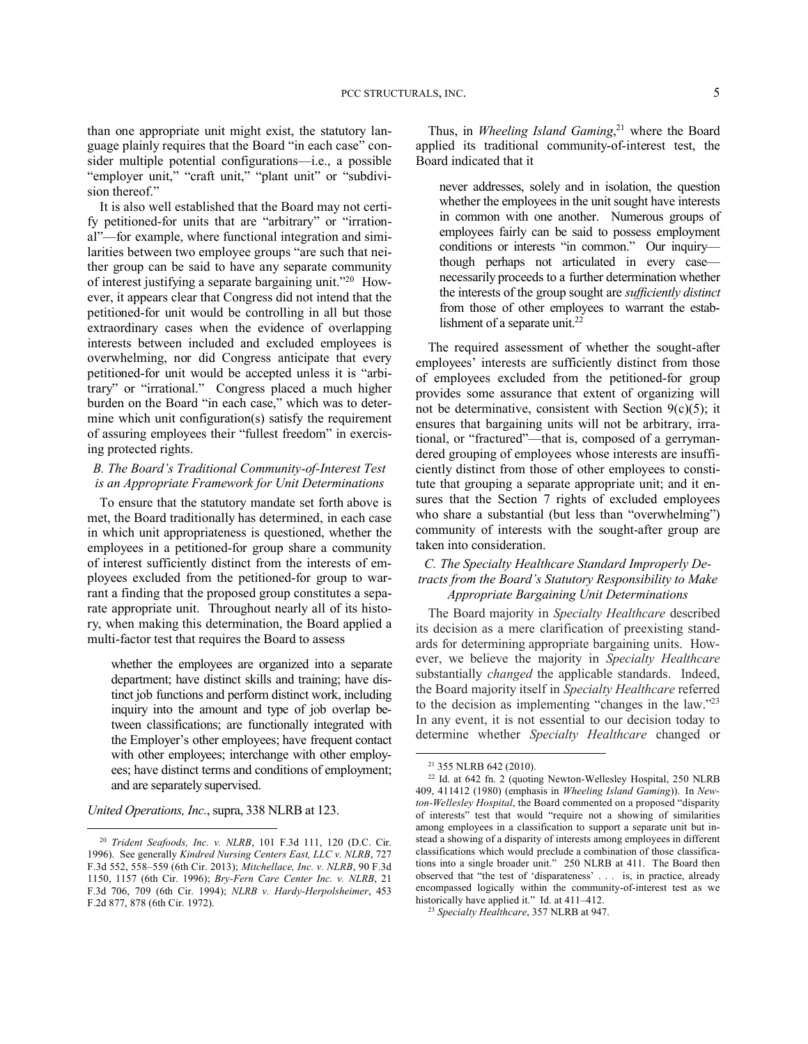than one appropriate unit might exist, the statutory language plainly requires that the Board "in each case" consider multiple potential configurations—i.e., a possible "employer unit," "craft unit," "plant unit" or "subdivision thereof."

It is also well established that the Board may not certify petitioned-for units that are "arbitrary" or "irrational"—for example, where functional integration and similarities between two employee groups "are such that neither group can be said to have any separate community of interest justifying a separate bargaining unit."<sup>20</sup> However, it appears clear that Congress did not intend that the petitioned-for unit would be controlling in all but those extraordinary cases when the evidence of overlapping interests between included and excluded employees is overwhelming, nor did Congress anticipate that every petitioned-for unit would be accepted unless it is "arbitrary" or "irrational." Congress placed a much higher burden on the Board "in each case," which was to determine which unit configuration(s) satisfy the requirement of assuring employees their "fullest freedom" in exercising protected rights.

## *B. The Board's Traditional Community-of-Interest Test is an Appropriate Framework for Unit Determinations*

To ensure that the statutory mandate set forth above is met, the Board traditionally has determined, in each case in which unit appropriateness is questioned, whether the employees in a petitioned-for group share a community of interest sufficiently distinct from the interests of employees excluded from the petitioned-for group to warrant a finding that the proposed group constitutes a separate appropriate unit. Throughout nearly all of its history, when making this determination, the Board applied a multi-factor test that requires the Board to assess

whether the employees are organized into a separate department; have distinct skills and training; have distinct job functions and perform distinct work, including inquiry into the amount and type of job overlap between classifications; are functionally integrated with the Employer's other employees; have frequent contact with other employees; interchange with other employees; have distinct terms and conditions of employment; and are separately supervised.

*United Operations, Inc.*, supra, 338 NLRB at 123.

1

Thus, in *Wheeling Island Gaming*, <sup>21</sup> where the Board applied its traditional community-of-interest test, the Board indicated that it

never addresses, solely and in isolation, the question whether the employees in the unit sought have interests in common with one another. Numerous groups of employees fairly can be said to possess employment conditions or interests "in common." Our inquiry though perhaps not articulated in every case necessarily proceeds to a further determination whether the interests of the group sought are *sufficiently distinct* from those of other employees to warrant the establishment of a separate unit.<sup>22</sup>

The required assessment of whether the sought-after employees' interests are sufficiently distinct from those of employees excluded from the petitioned-for group provides some assurance that extent of organizing will not be determinative, consistent with Section 9(c)(5); it ensures that bargaining units will not be arbitrary, irrational, or "fractured"—that is, composed of a gerrymandered grouping of employees whose interests are insufficiently distinct from those of other employees to constitute that grouping a separate appropriate unit; and it ensures that the Section 7 rights of excluded employees who share a substantial (but less than "overwhelming") community of interests with the sought-after group are taken into consideration.

## *C. The Specialty Healthcare Standard Improperly Detracts from the Board's Statutory Responsibility to Make Appropriate Bargaining Unit Determinations*

The Board majority in *Specialty Healthcare* described its decision as a mere clarification of preexisting standards for determining appropriate bargaining units. However, we believe the majority in *Specialty Healthcare* substantially *changed* the applicable standards. Indeed, the Board majority itself in *Specialty Healthcare* referred to the decision as implementing "changes in the law."<sup>23</sup> In any event, it is not essential to our decision today to determine whether *Specialty Healthcare* changed or

<sup>20</sup> *Trident Seafoods, Inc. v. NLRB*, 101 F.3d 111, 120 (D.C. Cir. 1996). See generally *Kindred Nursing Centers East, LLC v. NLRB*, 727 F.3d 552, 558–559 (6th Cir. 2013); *Mitchellace, Inc. v. NLRB*, 90 F.3d 1150, 1157 (6th Cir. 1996); *Bry-Fern Care Center Inc. v. NLRB*, 21 F.3d 706, 709 (6th Cir. 1994); *NLRB v. Hardy-Herpolsheimer*, 453 F.2d 877, 878 (6th Cir. 1972).

<sup>21</sup> 355 NLRB 642 (2010).

<sup>22</sup> Id. at 642 fn. 2 (quoting Newton-Wellesley Hospital, 250 NLRB 409, 411412 (1980) (emphasis in *Wheeling Island Gaming*)). In *Newton-Wellesley Hospital*, the Board commented on a proposed "disparity of interests" test that would "require not a showing of similarities among employees in a classification to support a separate unit but instead a showing of a disparity of interests among employees in different classifications which would preclude a combination of those classifications into a single broader unit." 250 NLRB at 411. The Board then observed that "the test of 'disparateness' . . . is, in practice, already encompassed logically within the community-of-interest test as we historically have applied it." Id. at 411-412.

<sup>23</sup> *Specialty Healthcare*, 357 NLRB at 947.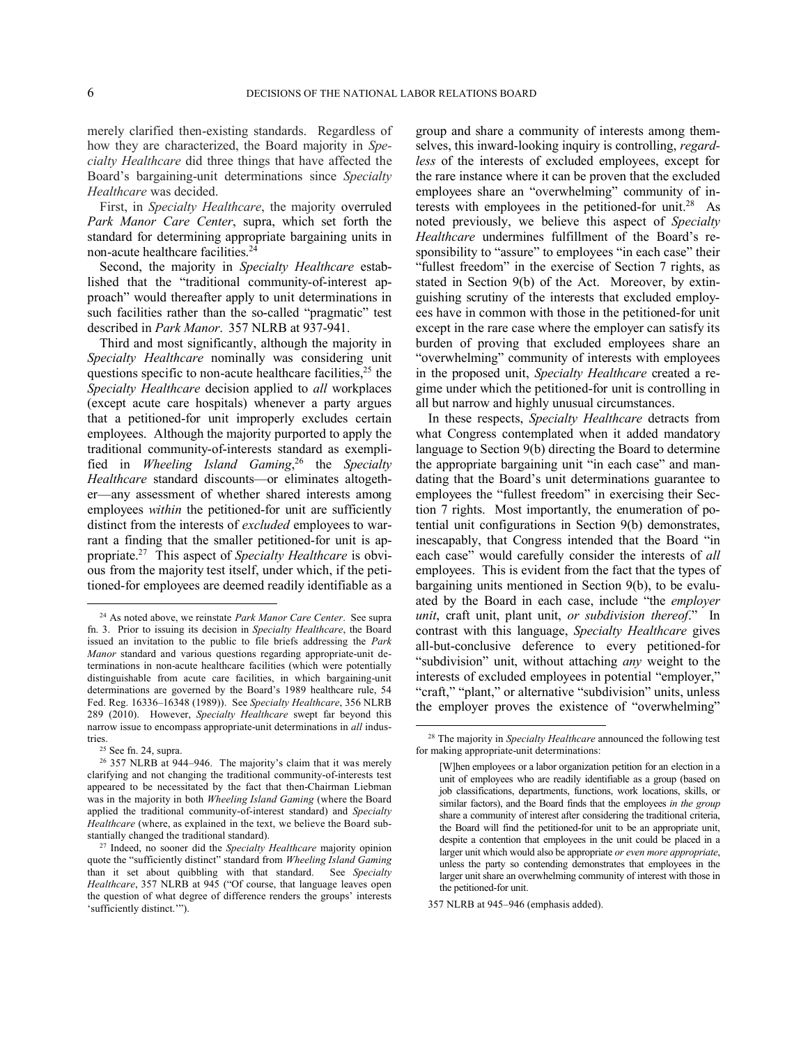merely clarified then-existing standards. Regardless of how they are characterized, the Board majority in *Specialty Healthcare* did three things that have affected the Board's bargaining-unit determinations since *Specialty Healthcare* was decided.

First, in *Specialty Healthcare*, the majority overruled *Park Manor Care Center*, supra, which set forth the standard for determining appropriate bargaining units in non-acute healthcare facilities. 24

Second, the majority in *Specialty Healthcare* established that the "traditional community-of-interest approach" would thereafter apply to unit determinations in such facilities rather than the so-called "pragmatic" test described in *Park Manor*. 357 NLRB at 937-941.

Third and most significantly, although the majority in *Specialty Healthcare* nominally was considering unit questions specific to non-acute healthcare facilities, $2<sup>5</sup>$  the *Specialty Healthcare* decision applied to *all* workplaces (except acute care hospitals) whenever a party argues that a petitioned-for unit improperly excludes certain employees. Although the majority purported to apply the traditional community-of-interests standard as exemplified in *Wheeling Island Gaming*, <sup>26</sup> the *Specialty Healthcare* standard discounts—or eliminates altogether—any assessment of whether shared interests among employees *within* the petitioned-for unit are sufficiently distinct from the interests of *excluded* employees to warrant a finding that the smaller petitioned-for unit is appropriate. 27 This aspect of *Specialty Healthcare* is obvious from the majority test itself, under which, if the petitioned-for employees are deemed readily identifiable as a

1

group and share a community of interests among themselves, this inward-looking inquiry is controlling, *regardless* of the interests of excluded employees, except for the rare instance where it can be proven that the excluded employees share an "overwhelming" community of interests with employees in the petitioned-for unit.<sup>28</sup> As noted previously, we believe this aspect of *Specialty Healthcare* undermines fulfillment of the Board's responsibility to "assure" to employees "in each case" their "fullest freedom" in the exercise of Section 7 rights, as stated in Section 9(b) of the Act. Moreover, by extinguishing scrutiny of the interests that excluded employees have in common with those in the petitioned-for unit except in the rare case where the employer can satisfy its burden of proving that excluded employees share an "overwhelming" community of interests with employees in the proposed unit, *Specialty Healthcare* created a regime under which the petitioned-for unit is controlling in all but narrow and highly unusual circumstances.

In these respects, *Specialty Healthcare* detracts from what Congress contemplated when it added mandatory language to Section 9(b) directing the Board to determine the appropriate bargaining unit "in each case" and mandating that the Board's unit determinations guarantee to employees the "fullest freedom" in exercising their Section 7 rights. Most importantly, the enumeration of potential unit configurations in Section 9(b) demonstrates, inescapably, that Congress intended that the Board "in each case" would carefully consider the interests of *all* employees. This is evident from the fact that the types of bargaining units mentioned in Section 9(b), to be evaluated by the Board in each case, include "the *employer unit*, craft unit, plant unit, *or subdivision thereof*." In contrast with this language, *Specialty Healthcare* gives all-but-conclusive deference to every petitioned-for "subdivision" unit, without attaching *any* weight to the interests of excluded employees in potential "employer," "craft," "plant," or alternative "subdivision" units, unless the employer proves the existence of "overwhelming"

357 NLRB at 945–946 (emphasis added).

<sup>24</sup> As noted above, we reinstate *Park Manor Care Center*. See supra fn. 3. Prior to issuing its decision in *Specialty Healthcare*, the Board issued an invitation to the public to file briefs addressing the *Park Manor* standard and various questions regarding appropriate-unit determinations in non-acute healthcare facilities (which were potentially distinguishable from acute care facilities, in which bargaining-unit determinations are governed by the Board's 1989 healthcare rule, 54 Fed. Reg. 16336–16348 (1989)). See *Specialty Healthcare*, 356 NLRB 289 (2010). However, *Specialty Healthcare* swept far beyond this narrow issue to encompass appropriate-unit determinations in *all* industries.

<sup>25</sup> See fn. 24, supra.

<sup>26</sup> 357 NLRB at 944–946. The majority's claim that it was merely clarifying and not changing the traditional community-of-interests test appeared to be necessitated by the fact that then-Chairman Liebman was in the majority in both *Wheeling Island Gaming* (where the Board applied the traditional community-of-interest standard) and *Specialty Healthcare* (where, as explained in the text, we believe the Board substantially changed the traditional standard).

<sup>27</sup> Indeed, no sooner did the *Specialty Healthcare* majority opinion quote the "sufficiently distinct" standard from *Wheeling Island Gaming* than it set about quibbling with that standard. See *Specialty Healthcare*, 357 NLRB at 945 ("Of course, that language leaves open the question of what degree of difference renders the groups' interests 'sufficiently distinct.'").

<sup>28</sup> The majority in *Specialty Healthcare* announced the following test for making appropriate-unit determinations:

<sup>[</sup>W]hen employees or a labor organization petition for an election in a unit of employees who are readily identifiable as a group (based on job classifications, departments, functions, work locations, skills, or similar factors), and the Board finds that the employees *in the group* share a community of interest after considering the traditional criteria, the Board will find the petitioned-for unit to be an appropriate unit, despite a contention that employees in the unit could be placed in a larger unit which would also be appropriate *or even more appropriate*, unless the party so contending demonstrates that employees in the larger unit share an overwhelming community of interest with those in the petitioned-for unit.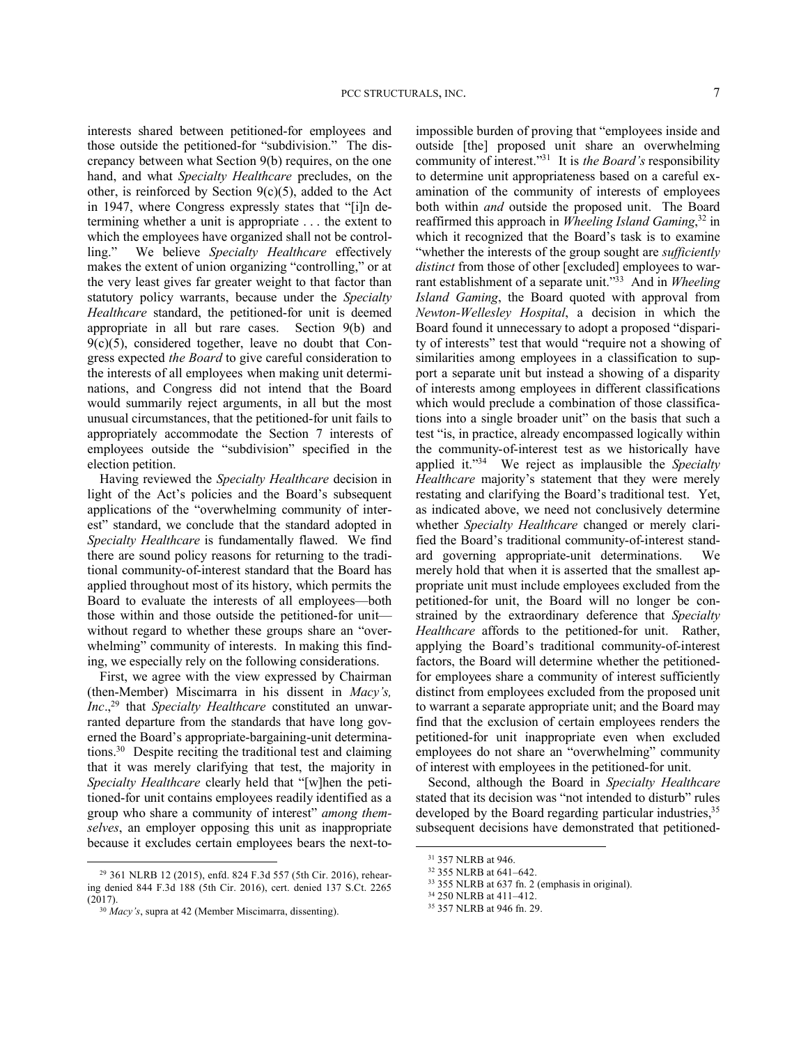interests shared between petitioned-for employees and those outside the petitioned-for "subdivision." The discrepancy between what Section 9(b) requires, on the one hand, and what *Specialty Healthcare* precludes, on the other, is reinforced by Section  $9(c)(5)$ , added to the Act in 1947, where Congress expressly states that "[i]n determining whether a unit is appropriate . . . the extent to which the employees have organized shall not be controlling." We believe *Specialty Healthcare* effectively makes the extent of union organizing "controlling," or at the very least gives far greater weight to that factor than statutory policy warrants, because under the *Specialty Healthcare* standard, the petitioned-for unit is deemed appropriate in all but rare cases. Section 9(b) and 9(c)(5), considered together, leave no doubt that Congress expected *the Board* to give careful consideration to the interests of all employees when making unit determinations, and Congress did not intend that the Board would summarily reject arguments, in all but the most unusual circumstances, that the petitioned-for unit fails to appropriately accommodate the Section 7 interests of employees outside the "subdivision" specified in the election petition.

Having reviewed the *Specialty Healthcare* decision in light of the Act's policies and the Board's subsequent applications of the "overwhelming community of interest" standard, we conclude that the standard adopted in *Specialty Healthcare* is fundamentally flawed. We find there are sound policy reasons for returning to the traditional community-of-interest standard that the Board has applied throughout most of its history, which permits the Board to evaluate the interests of all employees—both those within and those outside the petitioned-for unit without regard to whether these groups share an "overwhelming" community of interests. In making this finding, we especially rely on the following considerations.

First, we agree with the view expressed by Chairman (then-Member) Miscimarra in his dissent in *Macy's, Inc*., <sup>29</sup> that *Specialty Healthcare* constituted an unwarranted departure from the standards that have long governed the Board's appropriate-bargaining-unit determinations.<sup>30</sup> Despite reciting the traditional test and claiming that it was merely clarifying that test, the majority in *Specialty Healthcare* clearly held that "[w]hen the petitioned-for unit contains employees readily identified as a group who share a community of interest" *among themselves*, an employer opposing this unit as inappropriate because it excludes certain employees bears the next-to-

<u>.</u>

impossible burden of proving that "employees inside and outside [the] proposed unit share an overwhelming community of interest."<sup>31</sup> It is *the Board's* responsibility to determine unit appropriateness based on a careful examination of the community of interests of employees both within *and* outside the proposed unit. The Board reaffirmed this approach in *Wheeling Island Gaming*, <sup>32</sup> in which it recognized that the Board's task is to examine "whether the interests of the group sought are *sufficiently distinct* from those of other [excluded] employees to warrant establishment of a separate unit."<sup>33</sup> And in *Wheeling Island Gaming*, the Board quoted with approval from *Newton-Wellesley Hospital*, a decision in which the Board found it unnecessary to adopt a proposed "disparity of interests" test that would "require not a showing of similarities among employees in a classification to support a separate unit but instead a showing of a disparity of interests among employees in different classifications which would preclude a combination of those classifications into a single broader unit" on the basis that such a test "is, in practice, already encompassed logically within the community-of-interest test as we historically have applied it."<sup>34</sup> We reject as implausible the *Specialty Healthcare* majority's statement that they were merely restating and clarifying the Board's traditional test. Yet, as indicated above, we need not conclusively determine whether *Specialty Healthcare* changed or merely clarified the Board's traditional community-of-interest standard governing appropriate-unit determinations. We merely hold that when it is asserted that the smallest appropriate unit must include employees excluded from the petitioned-for unit, the Board will no longer be constrained by the extraordinary deference that *Specialty Healthcare* affords to the petitioned-for unit. Rather, applying the Board's traditional community-of-interest factors, the Board will determine whether the petitionedfor employees share a community of interest sufficiently distinct from employees excluded from the proposed unit to warrant a separate appropriate unit; and the Board may find that the exclusion of certain employees renders the petitioned-for unit inappropriate even when excluded employees do not share an "overwhelming" community of interest with employees in the petitioned-for unit.

Second, although the Board in *Specialty Healthcare* stated that its decision was "not intended to disturb" rules developed by the Board regarding particular industries,<sup>35</sup> subsequent decisions have demonstrated that petitioned-

<sup>29</sup> 361 NLRB 12 (2015), enfd. 824 F.3d 557 (5th Cir. 2016), rehearing denied 844 F.3d 188 (5th Cir. 2016), cert. denied 137 S.Ct. 2265 (2017).

<sup>30</sup> *Macy's*, supra at 42 (Member Miscimarra, dissenting).

<sup>31</sup> 357 NLRB at 946.

<sup>32</sup> 355 NLRB at 641–642.

<sup>33</sup> 355 NLRB at 637 fn. 2 (emphasis in original).

<sup>34</sup> 250 NLRB at 411–412.

<sup>35</sup> 357 NLRB at 946 fn. 29.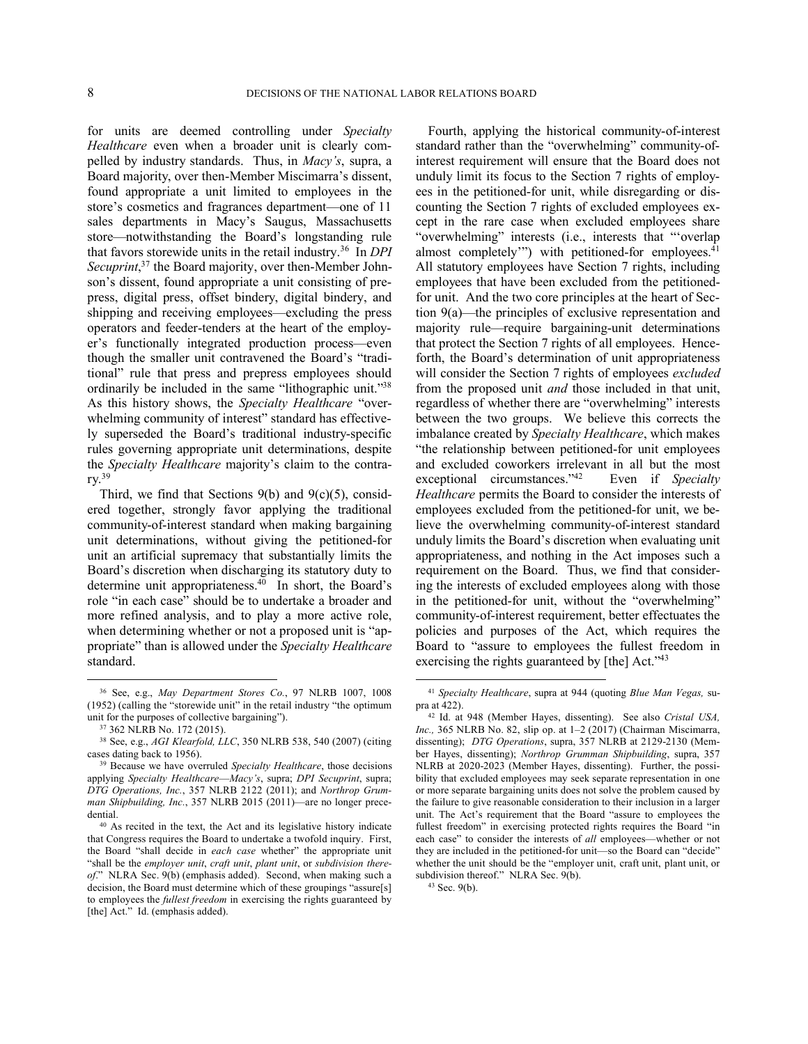for units are deemed controlling under *Specialty Healthcare* even when a broader unit is clearly compelled by industry standards. Thus, in *Macy's*, supra, a Board majority, over then-Member Miscimarra's dissent, found appropriate a unit limited to employees in the store's cosmetics and fragrances department—one of 11 sales departments in Macy's Saugus, Massachusetts store—notwithstanding the Board's longstanding rule that favors storewide units in the retail industry.<sup>36</sup> In *DPI*  Secuprint,<sup>37</sup> the Board majority, over then-Member Johnson's dissent, found appropriate a unit consisting of prepress, digital press, offset bindery, digital bindery, and shipping and receiving employees—excluding the press operators and feeder-tenders at the heart of the employer's functionally integrated production process—even though the smaller unit contravened the Board's "traditional" rule that press and prepress employees should ordinarily be included in the same "lithographic unit."<sup>38</sup> As this history shows, the *Specialty Healthcare* "overwhelming community of interest" standard has effectively superseded the Board's traditional industry-specific rules governing appropriate unit determinations, despite the *Specialty Healthcare* majority's claim to the contrary. 39

Third, we find that Sections  $9(b)$  and  $9(c)(5)$ , considered together, strongly favor applying the traditional community-of-interest standard when making bargaining unit determinations, without giving the petitioned-for unit an artificial supremacy that substantially limits the Board's discretion when discharging its statutory duty to determine unit appropriateness.<sup>40</sup> In short, the Board's role "in each case" should be to undertake a broader and more refined analysis, and to play a more active role, when determining whether or not a proposed unit is "appropriate" than is allowed under the *Specialty Healthcare* standard.

<u>.</u>

Fourth, applying the historical community-of-interest standard rather than the "overwhelming" community-ofinterest requirement will ensure that the Board does not unduly limit its focus to the Section 7 rights of employees in the petitioned-for unit, while disregarding or discounting the Section 7 rights of excluded employees except in the rare case when excluded employees share "overwhelming" interests (i.e., interests that "'overlap almost completely") with petitioned-for employees.<sup>41</sup> All statutory employees have Section 7 rights, including employees that have been excluded from the petitionedfor unit. And the two core principles at the heart of Section 9(a)—the principles of exclusive representation and majority rule—require bargaining-unit determinations that protect the Section 7 rights of all employees. Henceforth, the Board's determination of unit appropriateness will consider the Section 7 rights of employees *excluded* from the proposed unit *and* those included in that unit, regardless of whether there are "overwhelming" interests between the two groups. We believe this corrects the imbalance created by *Specialty Healthcare*, which makes "the relationship between petitioned-for unit employees and excluded coworkers irrelevant in all but the most exceptional circumstances."<sup>42</sup> Even if *Specialty Healthcare* permits the Board to consider the interests of employees excluded from the petitioned-for unit, we believe the overwhelming community-of-interest standard unduly limits the Board's discretion when evaluating unit appropriateness, and nothing in the Act imposes such a requirement on the Board. Thus, we find that considering the interests of excluded employees along with those in the petitioned-for unit, without the "overwhelming" community-of-interest requirement, better effectuates the policies and purposes of the Act, which requires the Board to "assure to employees the fullest freedom in exercising the rights guaranteed by [the] Act."<sup>43</sup>

 $\overline{a}$ 

<sup>36</sup> See, e.g., *May Department Stores Co.*, 97 NLRB 1007, 1008 (1952) (calling the "storewide unit" in the retail industry "the optimum unit for the purposes of collective bargaining").

<sup>37</sup> 362 NLRB No. 172 (2015).

<sup>38</sup> See, e.g., *AGI Klearfold, LLC*, 350 NLRB 538, 540 (2007) (citing cases dating back to 1956).

<sup>39</sup> Because we have overruled *Specialty Healthcare*, those decisions applying *Specialty Healthcare*—*Macy's*, supra; *DPI Secuprint*, supra; *DTG Operations, Inc.*, 357 NLRB 2122 (2011); and *Northrop Grumman Shipbuilding, Inc.*, 357 NLRB 2015 (2011)—are no longer precedential.

<sup>40</sup> As recited in the text, the Act and its legislative history indicate that Congress requires the Board to undertake a twofold inquiry. First, the Board "shall decide in *each case* whether" the appropriate unit "shall be the *employer unit*, *craft unit*, *plant unit*, or *subdivision thereof*." NLRA Sec. 9(b) (emphasis added). Second, when making such a decision, the Board must determine which of these groupings "assure[s] to employees the *fullest freedom* in exercising the rights guaranteed by [the] Act." Id. (emphasis added).

<sup>41</sup> *Specialty Healthcare*, supra at 944 (quoting *Blue Man Vegas,* supra at 422).

<sup>42</sup> Id. at 948 (Member Hayes, dissenting). See also *Cristal USA, Inc.,* 365 NLRB No. 82, slip op. at 1–2 (2017) (Chairman Miscimarra, dissenting); *DTG Operations*, supra, 357 NLRB at 2129-2130 (Member Hayes, dissenting); *Northrop Grumman Shipbuilding*, supra, 357 NLRB at 2020-2023 (Member Hayes, dissenting). Further, the possibility that excluded employees may seek separate representation in one or more separate bargaining units does not solve the problem caused by the failure to give reasonable consideration to their inclusion in a larger unit. The Act's requirement that the Board "assure to employees the fullest freedom" in exercising protected rights requires the Board "in each case" to consider the interests of *all* employees—whether or not they are included in the petitioned-for unit—so the Board can "decide" whether the unit should be the "employer unit, craft unit, plant unit, or subdivision thereof." NLRA Sec. 9(b).

<sup>43</sup> Sec. 9(b).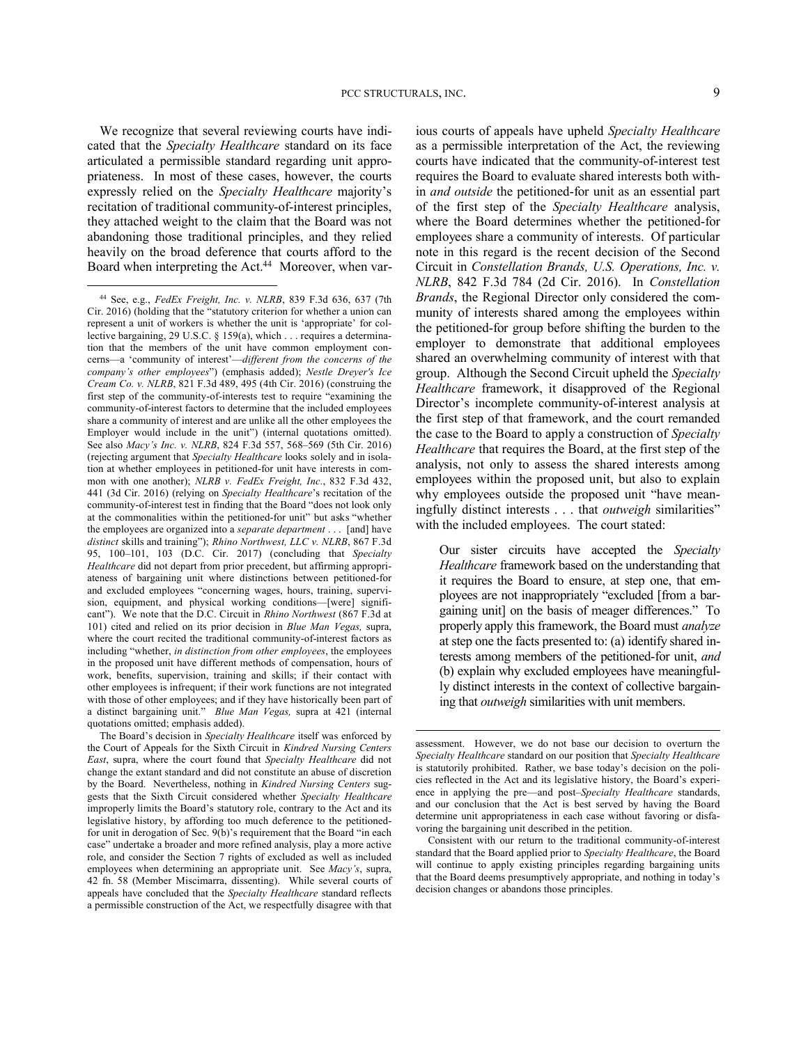We recognize that several reviewing courts have indicated that the *Specialty Healthcare* standard on its face articulated a permissible standard regarding unit appropriateness. In most of these cases, however, the courts expressly relied on the *Specialty Healthcare* majority's recitation of traditional community-of-interest principles, they attached weight to the claim that the Board was not abandoning those traditional principles, and they relied heavily on the broad deference that courts afford to the Board when interpreting the Act.<sup>44</sup> Moreover, when var-

1

The Board's decision in *Specialty Healthcare* itself was enforced by the Court of Appeals for the Sixth Circuit in *Kindred Nursing Centers East*, supra, where the court found that *Specialty Healthcare* did not change the extant standard and did not constitute an abuse of discretion by the Board. Nevertheless, nothing in *Kindred Nursing Centers* suggests that the Sixth Circuit considered whether *Specialty Healthcare* improperly limits the Board's statutory role, contrary to the Act and its legislative history, by affording too much deference to the petitionedfor unit in derogation of Sec. 9(b)'s requirement that the Board "in each case" undertake a broader and more refined analysis, play a more active role, and consider the Section 7 rights of excluded as well as included employees when determining an appropriate unit. See *Macy's*, supra, 42 fn. 58 (Member Miscimarra, dissenting). While several courts of appeals have concluded that the *Specialty Healthcare* standard reflects a permissible construction of the Act, we respectfully disagree with that

ious courts of appeals have upheld *Specialty Healthcare* as a permissible interpretation of the Act, the reviewing courts have indicated that the community-of-interest test requires the Board to evaluate shared interests both within *and outside* the petitioned-for unit as an essential part of the first step of the *Specialty Healthcare* analysis, where the Board determines whether the petitioned-for employees share a community of interests. Of particular note in this regard is the recent decision of the Second Circuit in *Constellation Brands, U.S. Operations, Inc. v. NLRB*, 842 F.3d 784 (2d Cir. 2016). In *Constellation Brands*, the Regional Director only considered the community of interests shared among the employees within the petitioned-for group before shifting the burden to the employer to demonstrate that additional employees shared an overwhelming community of interest with that group. Although the Second Circuit upheld the *Specialty Healthcare* framework, it disapproved of the Regional Director's incomplete community-of-interest analysis at the first step of that framework, and the court remanded the case to the Board to apply a construction of *Specialty Healthcare* that requires the Board, at the first step of the analysis, not only to assess the shared interests among employees within the proposed unit, but also to explain why employees outside the proposed unit "have meaningfully distinct interests . . . that *outweigh* similarities" with the included employees. The court stated:

Our sister circuits have accepted the *Specialty Healthcare* framework based on the understanding that it requires the Board to ensure, at step one, that employees are not inappropriately "excluded [from a bargaining unit] on the basis of meager differences." To properly apply this framework, the Board must *analyze* at step one the facts presented to: (a) identify shared interests among members of the petitioned-for unit, *and* (b) explain why excluded employees have meaningfully distinct interests in the context of collective bargaining that *outweigh* similarities with unit members.

<sup>44</sup> See, e.g., *FedEx Freight, Inc. v. NLRB*, 839 F.3d 636, 637 (7th Cir. 2016) (holding that the "statutory criterion for whether a union can represent a unit of workers is whether the unit is 'appropriate' for collective bargaining, 29 U.S.C. § 159(a), which . . . requires a determination that the members of the unit have common employment concerns—a 'community of interest'—*different from the concerns of the company's other employees*") (emphasis added); *Nestle Dreyer's Ice Cream Co. v. NLRB*, 821 F.3d 489, 495 (4th Cir. 2016) (construing the first step of the community-of-interests test to require "examining the community-of-interest factors to determine that the included employees share a community of interest and are unlike all the other employees the Employer would include in the unit") (internal quotations omitted). See also *Macy's Inc. v. NLRB*, 824 F.3d 557, 568–569 (5th Cir. 2016) (rejecting argument that *Specialty Healthcare* looks solely and in isolation at whether employees in petitioned-for unit have interests in common with one another); *NLRB v. FedEx Freight, Inc.*, 832 F.3d 432, 441 (3d Cir. 2016) (relying on *Specialty Healthcare*'s recitation of the community-of-interest test in finding that the Board "does not look only at the commonalities within the petitioned-for unit" but asks "whether the employees are organized into a *separate department* . . . [and] have *distinct* skills and training"); *Rhino Northwest, LLC v. NLRB*, 867 F.3d 95, 100–101, 103 (D.C. Cir. 2017) (concluding that *Specialty Healthcare* did not depart from prior precedent, but affirming appropriateness of bargaining unit where distinctions between petitioned-for and excluded employees "concerning wages, hours, training, supervision, equipment, and physical working conditions—[were] significant"). We note that the D.C. Circuit in *Rhino Northwest* (867 F.3d at 101) cited and relied on its prior decision in *Blue Man Vegas,* supra, where the court recited the traditional community-of-interest factors as including "whether, *in distinction from other employees*, the employees in the proposed unit have different methods of compensation, hours of work, benefits, supervision, training and skills; if their contact with other employees is infrequent; if their work functions are not integrated with those of other employees; and if they have historically been part of a distinct bargaining unit." *Blue Man Vegas,* supra at 421 (internal quotations omitted; emphasis added).

assessment. However, we do not base our decision to overturn the *Specialty Healthcare* standard on our position that *Specialty Healthcare*  is statutorily prohibited. Rather, we base today's decision on the policies reflected in the Act and its legislative history, the Board's experience in applying the pre—and post–*Specialty Healthcare* standards, and our conclusion that the Act is best served by having the Board determine unit appropriateness in each case without favoring or disfavoring the bargaining unit described in the petition.

Consistent with our return to the traditional community-of-interest standard that the Board applied prior to *Specialty Healthcare*, the Board will continue to apply existing principles regarding bargaining units that the Board deems presumptively appropriate, and nothing in today's decision changes or abandons those principles.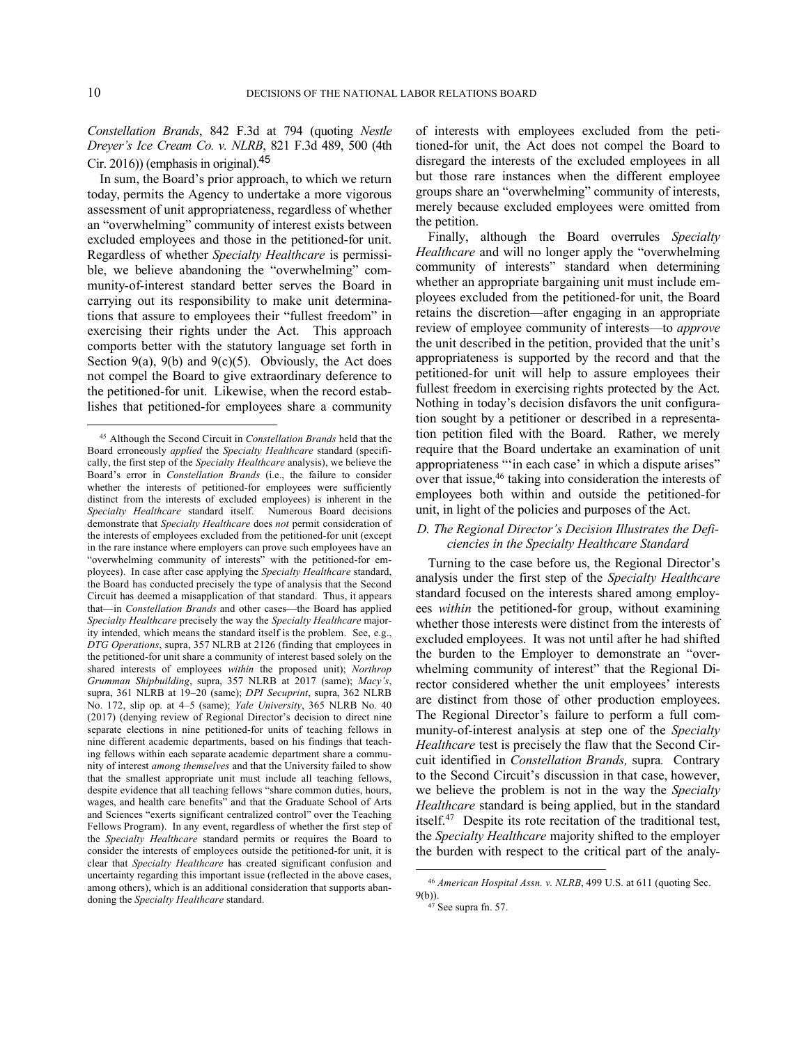1

*Constellation Brands*, 842 F.3d at 794 (quoting *Nestle Dreyer's Ice Cream Co. v. NLRB*, 821 F.3d 489, 500 (4th Cir. 2016)) (emphasis in original).<sup>45</sup>

In sum, the Board's prior approach, to which we return today, permits the Agency to undertake a more vigorous assessment of unit appropriateness, regardless of whether an "overwhelming" community of interest exists between excluded employees and those in the petitioned-for unit. Regardless of whether *Specialty Healthcare* is permissible, we believe abandoning the "overwhelming" community-of-interest standard better serves the Board in carrying out its responsibility to make unit determinations that assure to employees their "fullest freedom" in exercising their rights under the Act. This approach comports better with the statutory language set forth in Section 9(a), 9(b) and 9(c)(5). Obviously, the Act does not compel the Board to give extraordinary deference to the petitioned-for unit. Likewise, when the record establishes that petitioned-for employees share a community

of interests with employees excluded from the petitioned-for unit, the Act does not compel the Board to disregard the interests of the excluded employees in all but those rare instances when the different employee groups share an "overwhelming" community of interests, merely because excluded employees were omitted from the petition.

Finally, although the Board overrules *Specialty Healthcare* and will no longer apply the "overwhelming community of interests" standard when determining whether an appropriate bargaining unit must include employees excluded from the petitioned-for unit, the Board retains the discretion—after engaging in an appropriate review of employee community of interests—to *approve* the unit described in the petition, provided that the unit's appropriateness is supported by the record and that the petitioned-for unit will help to assure employees their fullest freedom in exercising rights protected by the Act. Nothing in today's decision disfavors the unit configuration sought by a petitioner or described in a representation petition filed with the Board. Rather, we merely require that the Board undertake an examination of unit appropriateness "'in each case' in which a dispute arises" over that issue, $46$  taking into consideration the interests of employees both within and outside the petitioned-for unit, in light of the policies and purposes of the Act.

## *D. The Regional Director's Decision Illustrates the Deficiencies in the Specialty Healthcare Standard*

Turning to the case before us, the Regional Director's analysis under the first step of the *Specialty Healthcare* standard focused on the interests shared among employees *within* the petitioned-for group, without examining whether those interests were distinct from the interests of excluded employees. It was not until after he had shifted the burden to the Employer to demonstrate an "overwhelming community of interest" that the Regional Director considered whether the unit employees' interests are distinct from those of other production employees. The Regional Director's failure to perform a full community-of-interest analysis at step one of the *Specialty Healthcare* test is precisely the flaw that the Second Circuit identified in *Constellation Brands,* supra*.* Contrary to the Second Circuit's discussion in that case, however, we believe the problem is not in the way the *Specialty Healthcare* standard is being applied, but in the standard itself.<sup>47</sup> Despite its rote recitation of the traditional test, the *Specialty Healthcare* majority shifted to the employer the burden with respect to the critical part of the analy-

 $\overline{a}$ 

<sup>45</sup> Although the Second Circuit in *Constellation Brands* held that the Board erroneously *applied* the *Specialty Healthcare* standard (specifically, the first step of the *Specialty Healthcare* analysis), we believe the Board's error in *Constellation Brands* (i.e., the failure to consider whether the interests of petitioned-for employees were sufficiently distinct from the interests of excluded employees) is inherent in the *Specialty Healthcare* standard itself. Numerous Board decisions demonstrate that *Specialty Healthcare* does *not* permit consideration of the interests of employees excluded from the petitioned-for unit (except in the rare instance where employers can prove such employees have an "overwhelming community of interests" with the petitioned-for employees). In case after case applying the *Specialty Healthcare* standard, the Board has conducted precisely the type of analysis that the Second Circuit has deemed a misapplication of that standard. Thus, it appears that—in *Constellation Brands* and other cases—the Board has applied *Specialty Healthcare* precisely the way the *Specialty Healthcare* majority intended, which means the standard itself is the problem. See, e.g., *DTG Operations*, supra, 357 NLRB at 2126 (finding that employees in the petitioned-for unit share a community of interest based solely on the shared interests of employees *within* the proposed unit); *Northrop Grumman Shipbuilding*, supra, 357 NLRB at 2017 (same); *Macy's*, supra, 361 NLRB at 19–20 (same); *DPI Secuprint*, supra, 362 NLRB No. 172, slip op. at 4–5 (same); *Yale University*, 365 NLRB No. 40 (2017) (denying review of Regional Director's decision to direct nine separate elections in nine petitioned-for units of teaching fellows in nine different academic departments, based on his findings that teaching fellows within each separate academic department share a community of interest *among themselves* and that the University failed to show that the smallest appropriate unit must include all teaching fellows, despite evidence that all teaching fellows "share common duties, hours, wages, and health care benefits" and that the Graduate School of Arts and Sciences "exerts significant centralized control" over the Teaching Fellows Program). In any event, regardless of whether the first step of the *Specialty Healthcare* standard permits or requires the Board to consider the interests of employees outside the petitioned-for unit, it is clear that *Specialty Healthcare* has created significant confusion and uncertainty regarding this important issue (reflected in the above cases, among others), which is an additional consideration that supports abandoning the *Specialty Healthcare* standard.

<sup>46</sup> *American Hospital Assn. v. NLRB*, 499 U.S. at 611 (quoting Sec. 9(b)).

<sup>&</sup>lt;sup>47</sup> See supra fn. 57.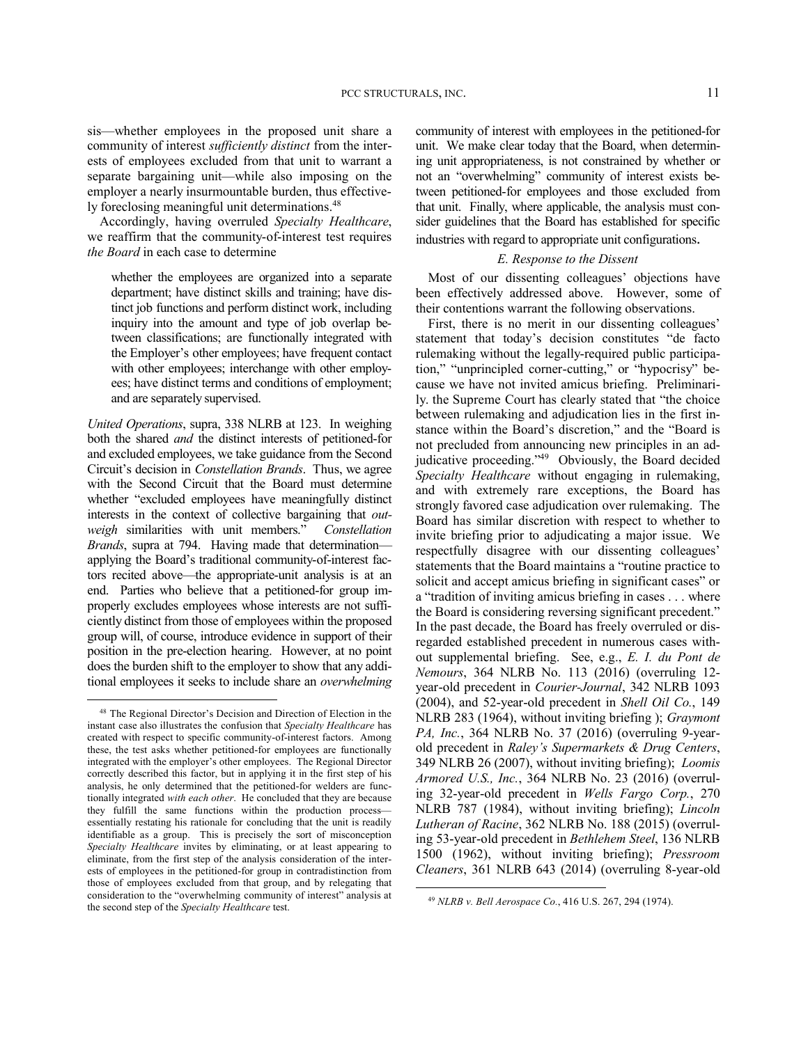sis—whether employees in the proposed unit share a community of interest *sufficiently distinct* from the interests of employees excluded from that unit to warrant a separate bargaining unit—while also imposing on the employer a nearly insurmountable burden, thus effectively foreclosing meaningful unit determinations.<sup>48</sup>

Accordingly, having overruled *Specialty Healthcare*, we reaffirm that the community-of-interest test requires *the Board* in each case to determine

whether the employees are organized into a separate department; have distinct skills and training; have distinct job functions and perform distinct work, including inquiry into the amount and type of job overlap between classifications; are functionally integrated with the Employer's other employees; have frequent contact with other employees; interchange with other employees; have distinct terms and conditions of employment; and are separately supervised.

*United Operations*, supra, 338 NLRB at 123. In weighing both the shared *and* the distinct interests of petitioned-for and excluded employees, we take guidance from the Second Circuit's decision in *Constellation Brands*. Thus, we agree with the Second Circuit that the Board must determine whether "excluded employees have meaningfully distinct interests in the context of collective bargaining that *outweigh* similarities with unit members." *Constellation Brands*, supra at 794. Having made that determination applying the Board's traditional community-of-interest factors recited above—the appropriate-unit analysis is at an end. Parties who believe that a petitioned-for group improperly excludes employees whose interests are not sufficiently distinct from those of employees within the proposed group will, of course, introduce evidence in support of their position in the pre-election hearing. However, at no point does the burden shift to the employer to show that any additional employees it seeks to include share an *overwhelming*

1

community of interest with employees in the petitioned-for unit. We make clear today that the Board, when determining unit appropriateness, is not constrained by whether or not an "overwhelming" community of interest exists between petitioned-for employees and those excluded from that unit. Finally, where applicable, the analysis must consider guidelines that the Board has established for specific industries with regard to appropriate unit configurations.

# *E. Response to the Dissent*

Most of our dissenting colleagues' objections have been effectively addressed above. However, some of their contentions warrant the following observations.

First, there is no merit in our dissenting colleagues' statement that today's decision constitutes "de facto rulemaking without the legally-required public participation," "unprincipled corner-cutting," or "hypocrisy" because we have not invited amicus briefing. Preliminarily. the Supreme Court has clearly stated that "the choice between rulemaking and adjudication lies in the first instance within the Board's discretion," and the "Board is not precluded from announcing new principles in an adjudicative proceeding."<sup>49</sup> Obviously, the Board decided *Specialty Healthcare* without engaging in rulemaking, and with extremely rare exceptions, the Board has strongly favored case adjudication over rulemaking. The Board has similar discretion with respect to whether to invite briefing prior to adjudicating a major issue. We respectfully disagree with our dissenting colleagues' statements that the Board maintains a "routine practice to solicit and accept amicus briefing in significant cases" or a "tradition of inviting amicus briefing in cases . . . where the Board is considering reversing significant precedent." In the past decade, the Board has freely overruled or disregarded established precedent in numerous cases without supplemental briefing. See, e.g., *E. I. du Pont de Nemours*, 364 NLRB No. 113 (2016) (overruling 12 year-old precedent in *Courier-Journal*, 342 NLRB 1093 (2004), and 52-year-old precedent in *Shell Oil Co.*, 149 NLRB 283 (1964), without inviting briefing ); *Graymont PA, Inc.*, 364 NLRB No. 37 (2016) (overruling 9-yearold precedent in *Raley's Supermarkets & Drug Centers*, 349 NLRB 26 (2007), without inviting briefing); *Loomis Armored U.S., Inc.*, 364 NLRB No. 23 (2016) (overruling 32-year-old precedent in *Wells Fargo Corp.*, 270 NLRB 787 (1984), without inviting briefing); *Lincoln Lutheran of Racine*, 362 NLRB No. 188 (2015) (overruling 53-year-old precedent in *Bethlehem Steel*, 136 NLRB 1500 (1962), without inviting briefing); *Pressroom Cleaners*, 361 NLRB 643 (2014) (overruling 8-year-old

<sup>48</sup> The Regional Director's Decision and Direction of Election in the instant case also illustrates the confusion that *Specialty Healthcare* has created with respect to specific community-of-interest factors. Among these, the test asks whether petitioned-for employees are functionally integrated with the employer's other employees. The Regional Director correctly described this factor, but in applying it in the first step of his analysis, he only determined that the petitioned-for welders are functionally integrated *with each other*. He concluded that they are because they fulfill the same functions within the production process essentially restating his rationale for concluding that the unit is readily identifiable as a group. This is precisely the sort of misconception *Specialty Healthcare* invites by eliminating, or at least appearing to eliminate, from the first step of the analysis consideration of the interests of employees in the petitioned-for group in contradistinction from those of employees excluded from that group, and by relegating that consideration to the "overwhelming community of interest" analysis at the second step of the *Specialty Healthcare* test.

<sup>49</sup> *NLRB v. Bell Aerospace Co.*, 416 U.S. 267, 294 (1974).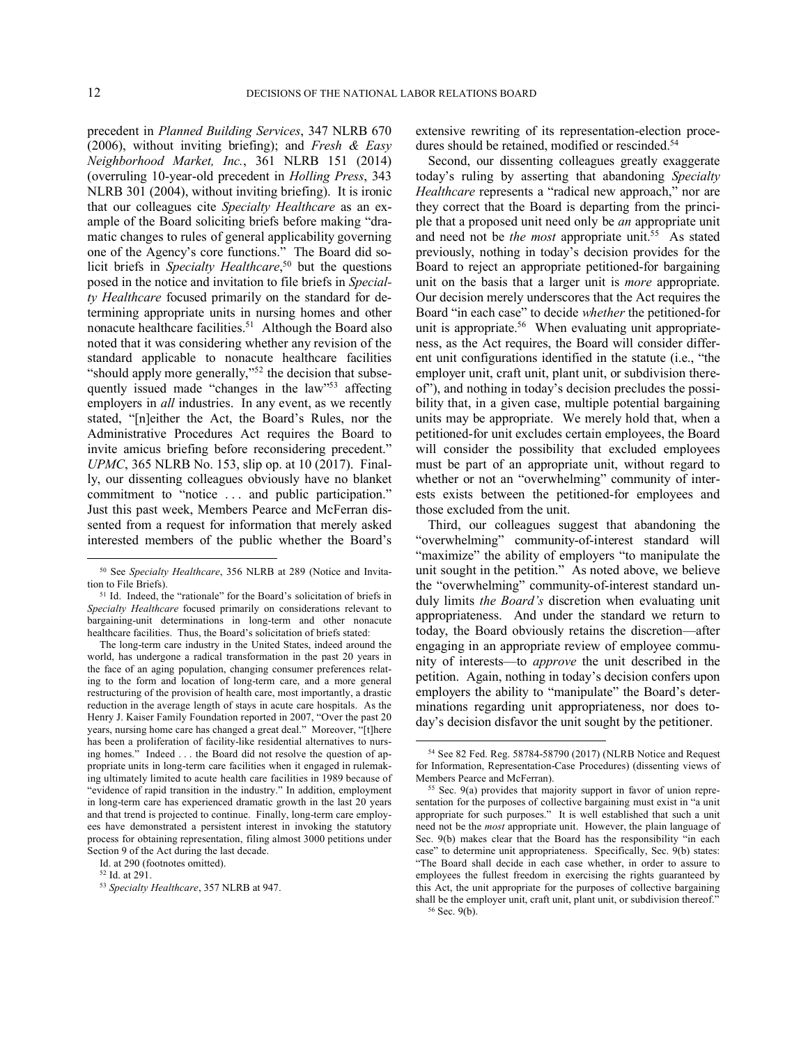1

l

precedent in *Planned Building Services*, 347 NLRB 670 (2006), without inviting briefing); and *Fresh & Easy Neighborhood Market, Inc.*, 361 NLRB 151 (2014) (overruling 10-year-old precedent in *Holling Press*, 343 NLRB 301 (2004), without inviting briefing). It is ironic that our colleagues cite *Specialty Healthcare* as an example of the Board soliciting briefs before making "dramatic changes to rules of general applicability governing one of the Agency's core functions." The Board did solicit briefs in *Specialty Healthcare*, <sup>50</sup> but the questions posed in the notice and invitation to file briefs in *Specialty Healthcare* focused primarily on the standard for determining appropriate units in nursing homes and other nonacute healthcare facilities.<sup>51</sup> Although the Board also noted that it was considering whether any revision of the standard applicable to nonacute healthcare facilities "should apply more generally,"<sup>52</sup> the decision that subsequently issued made "changes in the law"<sup>53</sup> affecting employers in *all* industries. In any event, as we recently stated, "[n]either the Act, the Board's Rules, nor the Administrative Procedures Act requires the Board to invite amicus briefing before reconsidering precedent." *UPMC*, 365 NLRB No. 153, slip op. at 10 (2017). Finally, our dissenting colleagues obviously have no blanket commitment to "notice ... and public participation." Just this past week, Members Pearce and McFerran dissented from a request for information that merely asked interested members of the public whether the Board's

The long-term care industry in the United States, indeed around the world, has undergone a radical transformation in the past 20 years in the face of an aging population, changing consumer preferences relating to the form and location of long-term care, and a more general restructuring of the provision of health care, most importantly, a drastic reduction in the average length of stays in acute care hospitals. As the Henry J. Kaiser Family Foundation reported in 2007, "Over the past 20 years, nursing home care has changed a great deal." Moreover, "[t]here has been a proliferation of facility-like residential alternatives to nursing homes." Indeed . . . the Board did not resolve the question of appropriate units in long-term care facilities when it engaged in rulemaking ultimately limited to acute health care facilities in 1989 because of "evidence of rapid transition in the industry." In addition, employment in long-term care has experienced dramatic growth in the last 20 years and that trend is projected to continue. Finally, long-term care employees have demonstrated a persistent interest in invoking the statutory process for obtaining representation, filing almost 3000 petitions under Section 9 of the Act during the last decade.

Id. at 290 (footnotes omitted).

extensive rewriting of its representation-election procedures should be retained, modified or rescinded.<sup>54</sup>

Second, our dissenting colleagues greatly exaggerate today's ruling by asserting that abandoning *Specialty Healthcare* represents a "radical new approach," nor are they correct that the Board is departing from the principle that a proposed unit need only be *an* appropriate unit and need not be *the most* appropriate unit.<sup>55</sup> As stated previously, nothing in today's decision provides for the Board to reject an appropriate petitioned-for bargaining unit on the basis that a larger unit is *more* appropriate. Our decision merely underscores that the Act requires the Board "in each case" to decide *whether* the petitioned-for unit is appropriate.<sup>56</sup> When evaluating unit appropriateness, as the Act requires, the Board will consider different unit configurations identified in the statute (i.e., "the employer unit, craft unit, plant unit, or subdivision thereof"), and nothing in today's decision precludes the possibility that, in a given case, multiple potential bargaining units may be appropriate. We merely hold that, when a petitioned-for unit excludes certain employees, the Board will consider the possibility that excluded employees must be part of an appropriate unit, without regard to whether or not an "overwhelming" community of interests exists between the petitioned-for employees and those excluded from the unit.

Third, our colleagues suggest that abandoning the "overwhelming" community-of-interest standard will "maximize" the ability of employers "to manipulate the unit sought in the petition." As noted above, we believe the "overwhelming" community-of-interest standard unduly limits *the Board's* discretion when evaluating unit appropriateness. And under the standard we return to today, the Board obviously retains the discretion—after engaging in an appropriate review of employee community of interests—to *approve* the unit described in the petition. Again, nothing in today's decision confers upon employers the ability to "manipulate" the Board's determinations regarding unit appropriateness, nor does today's decision disfavor the unit sought by the petitioner.

<sup>50</sup> See *Specialty Healthcare*, 356 NLRB at 289 (Notice and Invitation to File Briefs).

<sup>51</sup> Id. Indeed, the "rationale" for the Board's solicitation of briefs in *Specialty Healthcare* focused primarily on considerations relevant to bargaining-unit determinations in long-term and other nonacute healthcare facilities. Thus, the Board's solicitation of briefs stated:

<sup>52</sup> Id. at 291.

<sup>53</sup> *Specialty Healthcare*, 357 NLRB at 947.

<sup>54</sup> See 82 Fed. Reg. 58784-58790 (2017) (NLRB Notice and Request for Information, Representation-Case Procedures) (dissenting views of Members Pearce and McFerran).

<sup>55</sup> Sec. 9(a) provides that majority support in favor of union representation for the purposes of collective bargaining must exist in "a unit appropriate for such purposes." It is well established that such a unit need not be the *most* appropriate unit. However, the plain language of Sec. 9(b) makes clear that the Board has the responsibility "in each case" to determine unit appropriateness. Specifically, Sec. 9(b) states: "The Board shall decide in each case whether, in order to assure to employees the fullest freedom in exercising the rights guaranteed by this Act, the unit appropriate for the purposes of collective bargaining shall be the employer unit, craft unit, plant unit, or subdivision thereof." <sup>56</sup> Sec. 9(b).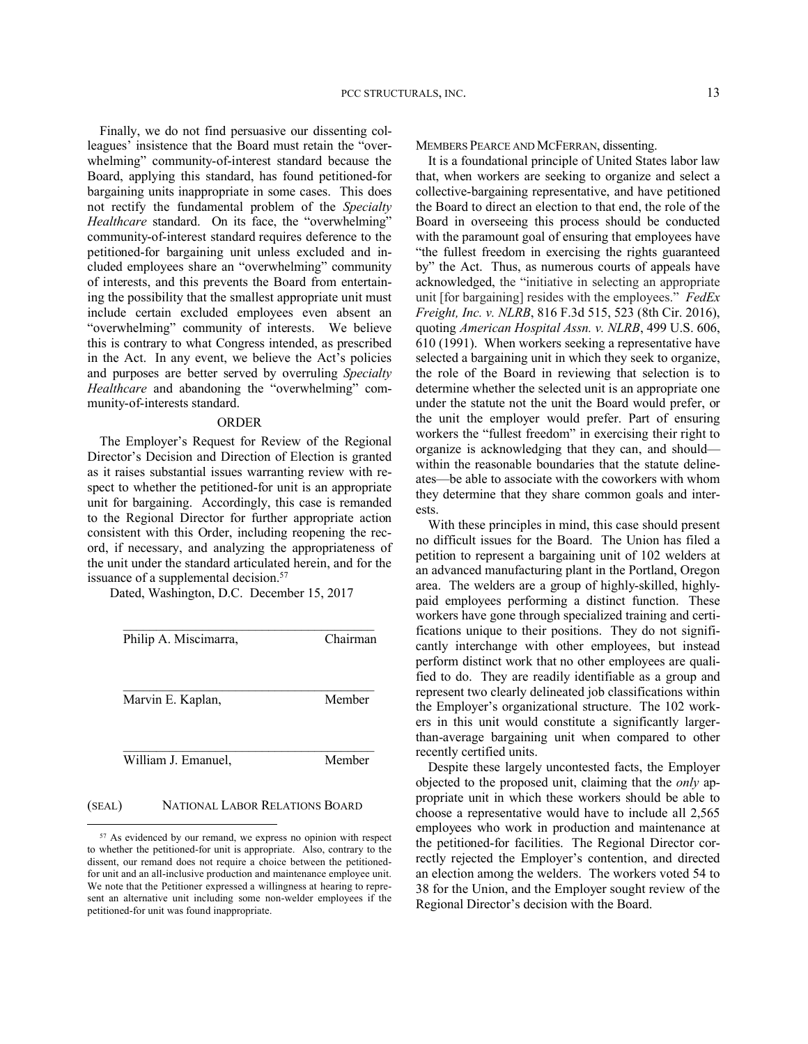Finally, we do not find persuasive our dissenting colleagues' insistence that the Board must retain the "overwhelming" community-of-interest standard because the Board, applying this standard, has found petitioned-for bargaining units inappropriate in some cases. This does not rectify the fundamental problem of the *Specialty Healthcare* standard. On its face, the "overwhelming" community-of-interest standard requires deference to the petitioned-for bargaining unit unless excluded and included employees share an "overwhelming" community of interests, and this prevents the Board from entertaining the possibility that the smallest appropriate unit must include certain excluded employees even absent an "overwhelming" community of interests. We believe this is contrary to what Congress intended, as prescribed in the Act. In any event, we believe the Act's policies and purposes are better served by overruling *Specialty Healthcare* and abandoning the "overwhelming" community-of-interests standard.

#### ORDER

The Employer's Request for Review of the Regional Director's Decision and Direction of Election is granted as it raises substantial issues warranting review with respect to whether the petitioned-for unit is an appropriate unit for bargaining. Accordingly, this case is remanded to the Regional Director for further appropriate action consistent with this Order, including reopening the record, if necessary, and analyzing the appropriateness of the unit under the standard articulated herein, and for the issuance of a supplemental decision.<sup>57</sup>

Dated, Washington, D.C. December 15, 2017

| Philip A. Miscimarra, | Chairman |
|-----------------------|----------|
| Marvin E. Kaplan,     | Member   |
| William J. Emanuel,   | Member   |

## (SEAL) NATIONAL LABOR RELATIONS BOARD

1

MEMBERS PEARCE AND MCFERRAN, dissenting.

It is a foundational principle of United States labor law that, when workers are seeking to organize and select a collective-bargaining representative, and have petitioned the Board to direct an election to that end, the role of the Board in overseeing this process should be conducted with the paramount goal of ensuring that employees have "the fullest freedom in exercising the rights guaranteed by" the Act. Thus, as numerous courts of appeals have acknowledged, the "initiative in selecting an appropriate unit [for bargaining] resides with the employees." *FedEx Freight, Inc. v. NLRB*, 816 F.3d 515, 523 (8th Cir. 2016), quoting *American Hospital Assn. v. NLRB*, 499 U.S. 606, 610 (1991). When workers seeking a representative have selected a bargaining unit in which they seek to organize, the role of the Board in reviewing that selection is to determine whether the selected unit is an appropriate one under the statute not the unit the Board would prefer, or the unit the employer would prefer. Part of ensuring workers the "fullest freedom" in exercising their right to organize is acknowledging that they can, and should within the reasonable boundaries that the statute delineates—be able to associate with the coworkers with whom they determine that they share common goals and interests.

With these principles in mind, this case should present no difficult issues for the Board. The Union has filed a petition to represent a bargaining unit of 102 welders at an advanced manufacturing plant in the Portland, Oregon area. The welders are a group of highly-skilled, highlypaid employees performing a distinct function. These workers have gone through specialized training and certifications unique to their positions. They do not significantly interchange with other employees, but instead perform distinct work that no other employees are qualified to do. They are readily identifiable as a group and represent two clearly delineated job classifications within the Employer's organizational structure. The 102 workers in this unit would constitute a significantly largerthan-average bargaining unit when compared to other recently certified units.

Despite these largely uncontested facts, the Employer objected to the proposed unit, claiming that the *only* appropriate unit in which these workers should be able to choose a representative would have to include all 2,565 employees who work in production and maintenance at the petitioned-for facilities. The Regional Director correctly rejected the Employer's contention, and directed an election among the welders. The workers voted 54 to 38 for the Union, and the Employer sought review of the Regional Director's decision with the Board.

<sup>57</sup> As evidenced by our remand, we express no opinion with respect to whether the petitioned-for unit is appropriate. Also, contrary to the dissent, our remand does not require a choice between the petitionedfor unit and an all-inclusive production and maintenance employee unit. We note that the Petitioner expressed a willingness at hearing to represent an alternative unit including some non-welder employees if the petitioned-for unit was found inappropriate.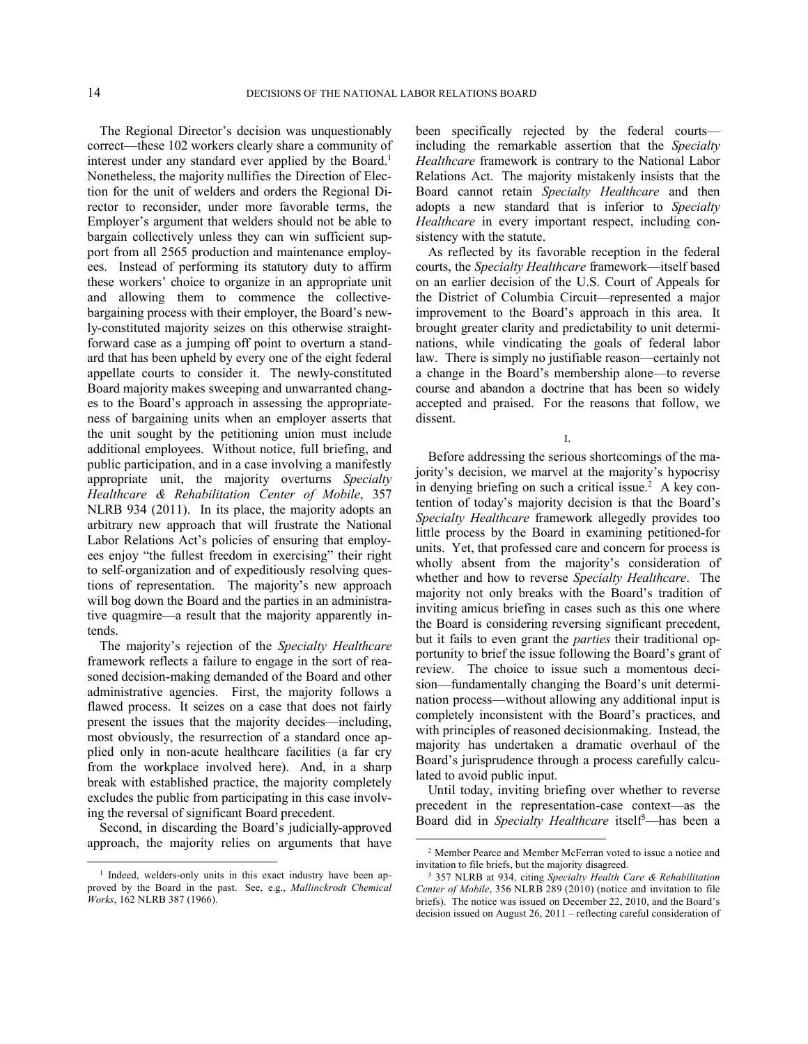The Regional Director's decision was unquestionably correct—these 102 workers clearly share a community of interest under any standard ever applied by the Board.<sup>1</sup> Nonetheless, the majority nullifies the Direction of Election for the unit of welders and orders the Regional Director to reconsider, under more favorable terms, the Employer's argument that welders should not be able to bargain collectively unless they can win sufficient support from all 2565 production and maintenance employees. Instead of performing its statutory duty to affirm these workers' choice to organize in an appropriate unit and allowing them to commence the collectivebargaining process with their employer, the Board's newly-constituted majority seizes on this otherwise straightforward case as a jumping off point to overturn a standard that has been upheld by every one of the eight federal appellate courts to consider it. The newly-constituted Board majority makes sweeping and unwarranted changes to the Board's approach in assessing the appropriateness of bargaining units when an employer asserts that the unit sought by the petitioning union must include additional employees. Without notice, full briefing, and public participation, and in a case involving a manifestly appropriate unit, the majority overturns *Specialty Healthcare & Rehabilitation Center of Mobile*, 357 NLRB 934 (2011). In its place, the majority adopts an arbitrary new approach that will frustrate the National Labor Relations Act's policies of ensuring that employees enjoy "the fullest freedom in exercising" their right to self-organization and of expeditiously resolving questions of representation. The majority's new approach will bog down the Board and the parties in an administrative quagmire—a result that the majority apparently intends.

The majority's rejection of the *Specialty Healthcare* framework reflects a failure to engage in the sort of reasoned decision-making demanded of the Board and other administrative agencies. First, the majority follows a flawed process. It seizes on a case that does not fairly present the issues that the majority decides—including, most obviously, the resurrection of a standard once applied only in non-acute healthcare facilities (a far cry from the workplace involved here). And, in a sharp break with established practice, the majority completely excludes the public from participating in this case involving the reversal of significant Board precedent.

Second, in discarding the Board's judicially-approved approach, the majority relies on arguments that have

<u>.</u>

been specifically rejected by the federal courts including the remarkable assertion that the *Specialty Healthcare* framework is contrary to the National Labor Relations Act. The majority mistakenly insists that the Board cannot retain *Specialty Healthcare* and then adopts a new standard that is inferior to *Specialty Healthcare* in every important respect, including consistency with the statute.

As reflected by its favorable reception in the federal courts, the *Specialty Healthcare* framework—itself based on an earlier decision of the U.S. Court of Appeals for the District of Columbia Circuit—represented a major improvement to the Board's approach in this area. It brought greater clarity and predictability to unit determinations, while vindicating the goals of federal labor law. There is simply no justifiable reason—certainly not a change in the Board's membership alone—to reverse course and abandon a doctrine that has been so widely accepted and praised. For the reasons that follow, we dissent.

I.

Before addressing the serious shortcomings of the majority's decision, we marvel at the majority's hypocrisy in denying briefing on such a critical issue.<sup>2</sup> A key contention of today's majority decision is that the Board's *Specialty Healthcare* framework allegedly provides too little process by the Board in examining petitioned-for units. Yet, that professed care and concern for process is wholly absent from the majority's consideration of whether and how to reverse *Specialty Healthcare*. The majority not only breaks with the Board's tradition of inviting amicus briefing in cases such as this one where the Board is considering reversing significant precedent, but it fails to even grant the *parties* their traditional opportunity to brief the issue following the Board's grant of review. The choice to issue such a momentous decision—fundamentally changing the Board's unit determination process—without allowing any additional input is completely inconsistent with the Board's practices, and with principles of reasoned decisionmaking. Instead, the majority has undertaken a dramatic overhaul of the Board's jurisprudence through a process carefully calculated to avoid public input.

Until today, inviting briefing over whether to reverse precedent in the representation-case context—as the Board did in *Specialty Healthcare* itself<sup>3</sup>—has been a

<sup>&</sup>lt;sup>1</sup> Indeed, welders-only units in this exact industry have been approved by the Board in the past. See, e.g., *Mallinckrodt Chemical Works*, 162 NLRB 387 (1966).

<sup>2</sup> Member Pearce and Member McFerran voted to issue a notice and invitation to file briefs, but the majority disagreed.

<sup>3</sup> 357 NLRB at 934, citing *Specialty Health Care & Rehabilitation Center of Mobile*, 356 NLRB 289 (2010) (notice and invitation to file briefs). The notice was issued on December 22, 2010, and the Board's decision issued on August 26, 2011 – reflecting careful consideration of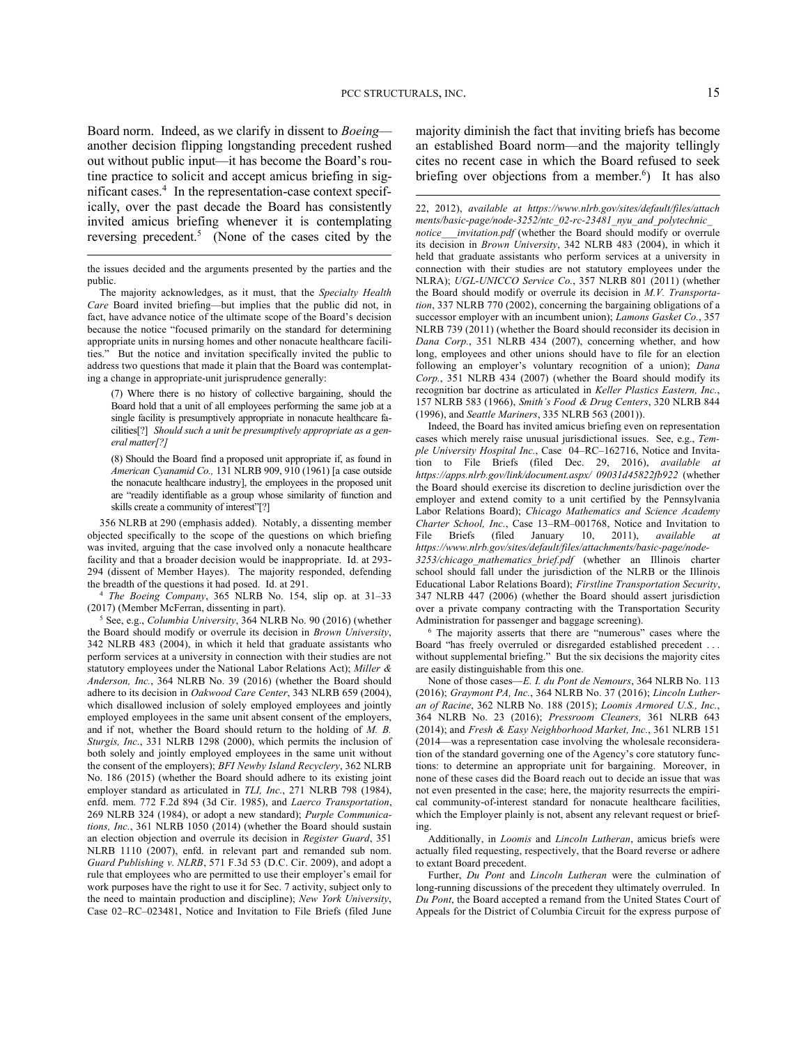Board norm. Indeed, as we clarify in dissent to *Boeing* another decision flipping longstanding precedent rushed out without public input—it has become the Board's routine practice to solicit and accept amicus briefing in significant cases.<sup>4</sup> In the representation-case context specifically, over the past decade the Board has consistently invited amicus briefing whenever it is contemplating reversing precedent.<sup>5</sup> (None of the cases cited by the

 $\overline{a}$ 

<sup>4</sup> *The Boeing Company*, 365 NLRB No. 154, slip op. at 31–33 (2017) (Member McFerran, dissenting in part).

<sup>5</sup> See, e.g., *Columbia University*, 364 NLRB No. 90 (2016) (whether the Board should modify or overrule its decision in *Brown University*, 342 NLRB 483 (2004), in which it held that graduate assistants who perform services at a university in connection with their studies are not statutory employees under the National Labor Relations Act); *Miller & Anderson, Inc.*, 364 NLRB No. 39 (2016) (whether the Board should adhere to its decision in *Oakwood Care Center*, 343 NLRB 659 (2004), which disallowed inclusion of solely employed employees and jointly employed employees in the same unit absent consent of the employers, and if not, whether the Board should return to the holding of *M. B. Sturgis, Inc.*, 331 NLRB 1298 (2000), which permits the inclusion of both solely and jointly employed employees in the same unit without the consent of the employers); *BFI Newby Island Recyclery*, 362 NLRB No. 186 (2015) (whether the Board should adhere to its existing joint employer standard as articulated in *TLI, Inc.*, 271 NLRB 798 (1984), enfd. mem. 772 F.2d 894 (3d Cir. 1985), and *Laerco Transportation*, 269 NLRB 324 (1984), or adopt a new standard); *Purple Communications, Inc.*, 361 NLRB 1050 (2014) (whether the Board should sustain an election objection and overrule its decision in *Register Guard*, 351 NLRB 1110 (2007), enfd. in relevant part and remanded sub nom. *Guard Publishing v. NLRB*, 571 F.3d 53 (D.C. Cir. 2009), and adopt a rule that employees who are permitted to use their employer's email for work purposes have the right to use it for Sec. 7 activity, subject only to the need to maintain production and discipline); *New York University*, Case 02–RC–023481, Notice and Invitation to File Briefs (filed June majority diminish the fact that inviting briefs has become an established Board norm—and the majority tellingly cites no recent case in which the Board refused to seek briefing over objections from a member.<sup>6</sup>) It has also

22, 2012), *available at https://www.nlrb.gov/sites/default/files/attach ments/basic-page/node-3252/ntc\_02-rc-23481\_nyu\_and\_polytechnic\_ notice\_\_\_invitation.pdf* (whether the Board should modify or overrule its decision in *Brown University*, 342 NLRB 483 (2004), in which it held that graduate assistants who perform services at a university in connection with their studies are not statutory employees under the NLRA); *UGL-UNICCO Service Co.*, 357 NLRB 801 (2011) (whether the Board should modify or overrule its decision in *M.V. Transportation*, 337 NLRB 770 (2002), concerning the bargaining obligations of a successor employer with an incumbent union); *Lamons Gasket Co.*, 357 NLRB 739 (2011) (whether the Board should reconsider its decision in *Dana Corp.*, 351 NLRB 434 (2007), concerning whether, and how long, employees and other unions should have to file for an election following an employer's voluntary recognition of a union); *Dana Corp.*, 351 NLRB 434 (2007) (whether the Board should modify its recognition bar doctrine as articulated in *Keller Plastics Eastern, Inc.*, 157 NLRB 583 (1966), *Smith's Food & Drug Centers*, 320 NLRB 844 (1996), and *Seattle Mariners*, 335 NLRB 563 (2001)).

Indeed, the Board has invited amicus briefing even on representation cases which merely raise unusual jurisdictional issues. See, e.g., *Temple University Hospital Inc.*, Case 04–RC–162716, Notice and Invitation to File Briefs (filed Dec. 29, 2016), *available at https://apps.nlrb.gov/link/document.aspx/ 09031d45822fb922* (whether the Board should exercise its discretion to decline jurisdiction over the employer and extend comity to a unit certified by the Pennsylvania Labor Relations Board); *Chicago Mathematics and Science Academy Charter School, Inc.*, Case 13–RM–001768, Notice and Invitation to File Briefs (filed January 10, 2011), *available at* File Briefs (filed January 10, 2011), *available https://www.nlrb.gov/sites/default/files/attachments/basic-page/node-3253/chicago\_mathematics\_brief.pdf* (whether an Illinois charter school should fall under the jurisdiction of the NLRB or the Illinois Educational Labor Relations Board); *Firstline Transportation Security*, 347 NLRB 447 (2006) (whether the Board should assert jurisdiction over a private company contracting with the Transportation Security Administration for passenger and baggage screening).

<sup>6</sup> The majority asserts that there are "numerous" cases where the Board "has freely overruled or disregarded established precedent . . . without supplemental briefing." But the six decisions the majority cites are easily distinguishable from this one.

None of those cases—*E. I. du Pont de Nemours*, 364 NLRB No. 113 (2016); *Graymont PA, Inc.*, 364 NLRB No. 37 (2016); *Lincoln Lutheran of Racine*, 362 NLRB No. 188 (2015); *Loomis Armored U.S., Inc.*, 364 NLRB No. 23 (2016); *Pressroom Cleaners,* 361 NLRB 643 (2014); and *Fresh & Easy Neighborhood Market, Inc.*, 361 NLRB 151 (2014—was a representation case involving the wholesale reconsideration of the standard governing one of the Agency's core statutory functions: to determine an appropriate unit for bargaining. Moreover, in none of these cases did the Board reach out to decide an issue that was not even presented in the case; here, the majority resurrects the empirical community-of-interest standard for nonacute healthcare facilities, which the Employer plainly is not, absent any relevant request or briefing.

Additionally, in *Loomis* and *Lincoln Lutheran*, amicus briefs were actually filed requesting, respectively, that the Board reverse or adhere to extant Board precedent.

Further, *Du Pont* and *Lincoln Lutheran* were the culmination of long-running discussions of the precedent they ultimately overruled. In *Du Pont*, the Board accepted a remand from the United States Court of Appeals for the District of Columbia Circuit for the express purpose of

the issues decided and the arguments presented by the parties and the public.

The majority acknowledges, as it must, that the *Specialty Health Care* Board invited briefing—but implies that the public did not, in fact, have advance notice of the ultimate scope of the Board's decision because the notice "focused primarily on the standard for determining appropriate units in nursing homes and other nonacute healthcare facilities." But the notice and invitation specifically invited the public to address two questions that made it plain that the Board was contemplating a change in appropriate-unit jurisprudence generally:

<sup>(7)</sup> Where there is no history of collective bargaining, should the Board hold that a unit of all employees performing the same job at a single facility is presumptively appropriate in nonacute healthcare facilities[?] *Should such a unit be presumptively appropriate as a general matter[?]*

<sup>(8)</sup> Should the Board find a proposed unit appropriate if, as found in *American Cyanamid Co.,* 131 NLRB 909, 910 (1961) [a case outside the nonacute healthcare industry], the employees in the proposed unit are "readily identifiable as a group whose similarity of function and skills create a community of interest"[?]

<sup>356</sup> NLRB at 290 (emphasis added). Notably, a dissenting member objected specifically to the scope of the questions on which briefing was invited, arguing that the case involved only a nonacute healthcare facility and that a broader decision would be inappropriate. Id. at 293- 294 (dissent of Member Hayes). The majority responded, defending the breadth of the questions it had posed. Id. at 291.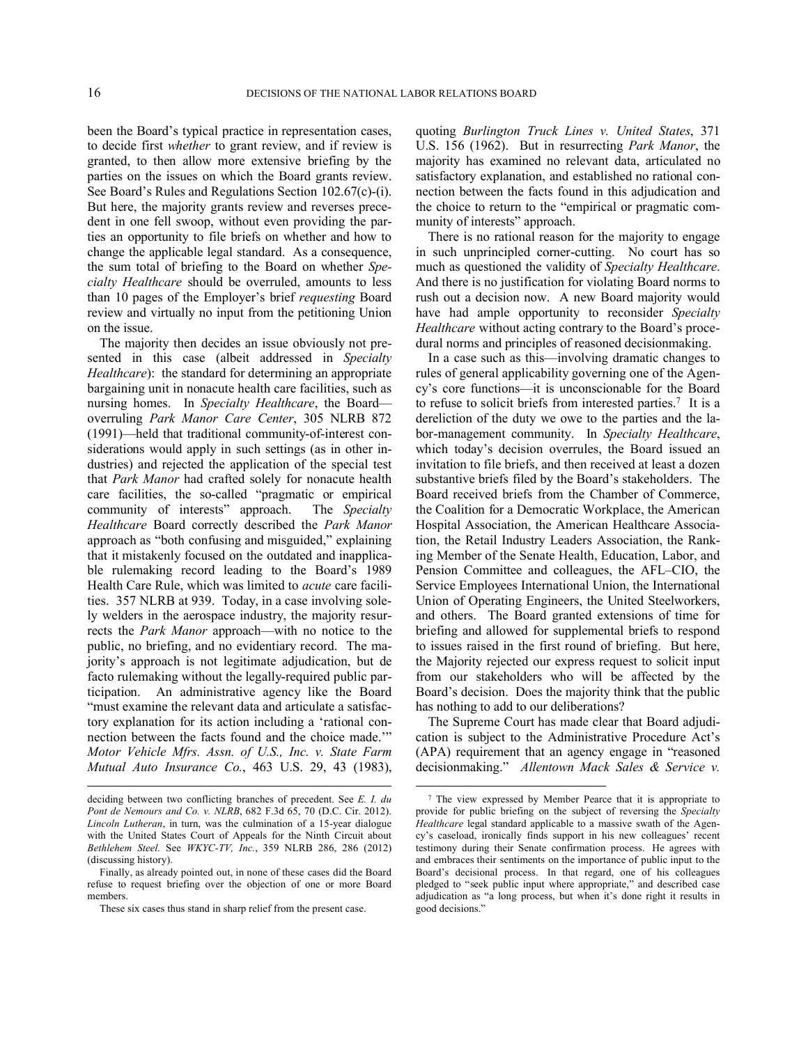been the Board's typical practice in representation cases, to decide first *whether* to grant review, and if review is granted, to then allow more extensive briefing by the parties on the issues on which the Board grants review. See Board's Rules and Regulations Section 102.67(c)-(i). But here, the majority grants review and reverses precedent in one fell swoop, without even providing the parties an opportunity to file briefs on whether and how to change the applicable legal standard. As a consequence, the sum total of briefing to the Board on whether *Specialty Healthcare* should be overruled, amounts to less than 10 pages of the Employer's brief *requesting* Board review and virtually no input from the petitioning Union on the issue.

The majority then decides an issue obviously not presented in this case (albeit addressed in *Specialty Healthcare*): the standard for determining an appropriate bargaining unit in nonacute health care facilities, such as nursing homes. In *Specialty Healthcare*, the Board overruling *Park Manor Care Center*, 305 NLRB 872 (1991)—held that traditional community-of-interest considerations would apply in such settings (as in other industries) and rejected the application of the special test that *Park Manor* had crafted solely for nonacute health care facilities, the so-called "pragmatic or empirical community of interests" approach. The *Specialty Healthcare* Board correctly described the *Park Manor* approach as "both confusing and misguided," explaining that it mistakenly focused on the outdated and inapplicable rulemaking record leading to the Board's 1989 Health Care Rule, which was limited to *acute* care facilities. 357 NLRB at 939. Today, in a case involving solely welders in the aerospace industry, the majority resurrects the *Park Manor* approach—with no notice to the public, no briefing, and no evidentiary record. The majority's approach is not legitimate adjudication, but de facto rulemaking without the legally-required public participation. An administrative agency like the Board "must examine the relevant data and articulate a satisfactory explanation for its action including a 'rational connection between the facts found and the choice made.'" *Motor Vehicle Mfrs. Assn. of U.S., Inc. v. State Farm Mutual Auto Insurance Co.*, 463 U.S. 29, 43 (1983),

quoting *Burlington Truck Lines v. United States*, 371 U.S. 156 (1962). But in resurrecting *Park Manor*, the majority has examined no relevant data, articulated no satisfactory explanation, and established no rational connection between the facts found in this adjudication and the choice to return to the "empirical or pragmatic community of interests" approach.

There is no rational reason for the majority to engage in such unprincipled corner-cutting. No court has so much as questioned the validity of *Specialty Healthcare*. And there is no justification for violating Board norms to rush out a decision now. A new Board majority would have had ample opportunity to reconsider *Specialty Healthcare* without acting contrary to the Board's procedural norms and principles of reasoned decisionmaking.

In a case such as this—involving dramatic changes to rules of general applicability governing one of the Agency's core functions—it is unconscionable for the Board to refuse to solicit briefs from interested parties.<sup>7</sup> It is a dereliction of the duty we owe to the parties and the labor-management community. In *Specialty Healthcare*, which today's decision overrules, the Board issued an invitation to file briefs, and then received at least a dozen substantive briefs filed by the Board's stakeholders. The Board received briefs from the Chamber of Commerce, the Coalition for a Democratic Workplace, the American Hospital Association, the American Healthcare Association, the Retail Industry Leaders Association, the Ranking Member of the Senate Health, Education, Labor, and Pension Committee and colleagues, the AFL–CIO, the Service Employees International Union, the International Union of Operating Engineers, the United Steelworkers, and others. The Board granted extensions of time for briefing and allowed for supplemental briefs to respond to issues raised in the first round of briefing. But here, the Majority rejected our express request to solicit input from our stakeholders who will be affected by the Board's decision. Does the majority think that the public has nothing to add to our deliberations?

The Supreme Court has made clear that Board adjudication is subject to the Administrative Procedure Act's (APA) requirement that an agency engage in "reasoned decisionmaking." *Allentown Mack Sales & Service v.* 

deciding between two conflicting branches of precedent. See *E. I. du Pont de Nemours and Co. v. NLRB*, 682 F.3d 65, 70 (D.C. Cir. 2012). *Lincoln Lutheran*, in turn, was the culmination of a 15-year dialogue with the United States Court of Appeals for the Ninth Circuit about *Bethlehem Steel.* See *WKYC-TV, Inc.*, 359 NLRB 286, 286 (2012) (discussing history).

Finally, as already pointed out, in none of these cases did the Board refuse to request briefing over the objection of one or more Board members.

These six cases thus stand in sharp relief from the present case.

<sup>7</sup> The view expressed by Member Pearce that it is appropriate to provide for public briefing on the subject of reversing the *Specialty Healthcare* legal standard applicable to a massive swath of the Agency's caseload, ironically finds support in his new colleagues' recent testimony during their Senate confirmation process. He agrees with and embraces their sentiments on the importance of public input to the Board's decisional process. In that regard, one of his colleagues pledged to "seek public input where appropriate," and described case adjudication as "a long process, but when it's done right it results in good decisions."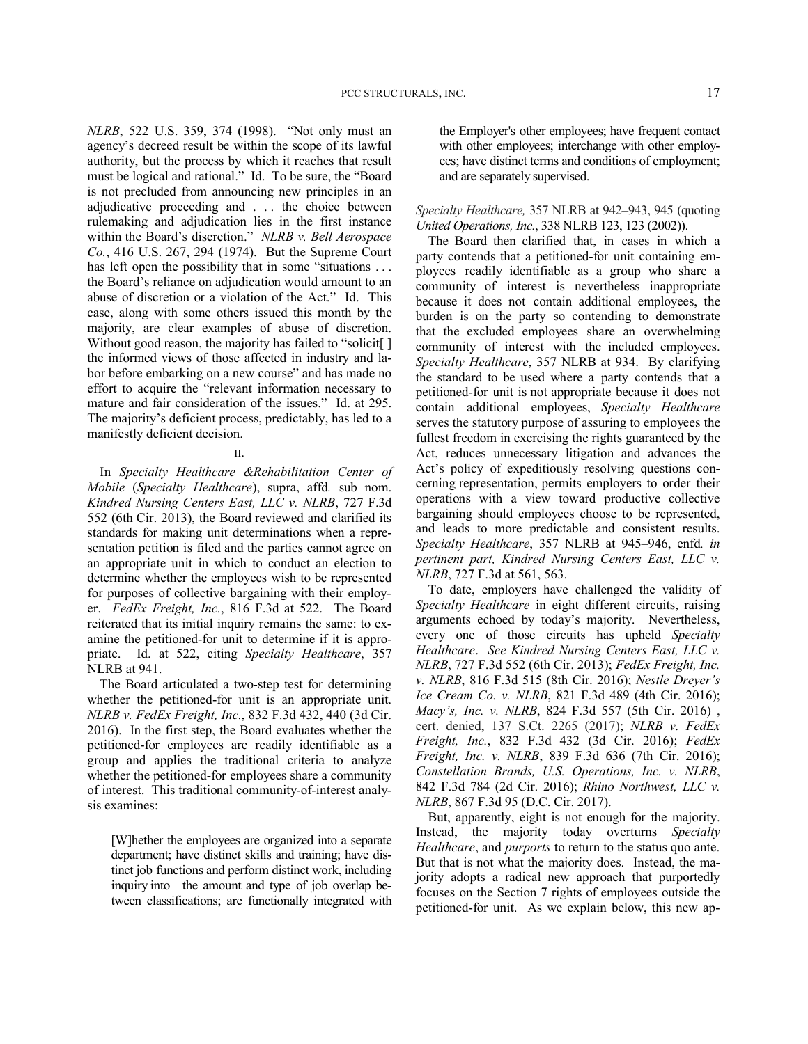*NLRB*, 522 U.S. 359, 374 (1998). "Not only must an agency's decreed result be within the scope of its lawful authority, but the process by which it reaches that result must be logical and rational." Id. To be sure, the "Board is not precluded from announcing new principles in an adjudicative proceeding and . . . the choice between rulemaking and adjudication lies in the first instance within the Board's discretion." *NLRB v. Bell Aerospace Co.*, 416 U.S. 267, 294 (1974). But the Supreme Court has left open the possibility that in some "situations ... the Board's reliance on adjudication would amount to an abuse of discretion or a violation of the Act." Id. This case, along with some others issued this month by the majority, are clear examples of abuse of discretion. Without good reason, the majority has failed to "solicit. the informed views of those affected in industry and labor before embarking on a new course" and has made no effort to acquire the "relevant information necessary to mature and fair consideration of the issues." Id. at 295. The majority's deficient process, predictably, has led to a manifestly deficient decision.

## II.

In *Specialty Healthcare &Rehabilitation Center of Mobile* (*Specialty Healthcare*), supra, affd*.* sub nom. *Kindred Nursing Centers East, LLC v. NLRB*, 727 F.3d 552 (6th Cir. 2013), the Board reviewed and clarified its standards for making unit determinations when a representation petition is filed and the parties cannot agree on an appropriate unit in which to conduct an election to determine whether the employees wish to be represented for purposes of collective bargaining with their employer. *FedEx Freight, Inc.*, 816 F.3d at 522. The Board reiterated that its initial inquiry remains the same: to examine the petitioned-for unit to determine if it is appropriate. Id. at 522, citing *Specialty Healthcare*, 357 NLRB at 941.

The Board articulated a two-step test for determining whether the petitioned-for unit is an appropriate unit. *NLRB v. FedEx Freight, Inc.*, 832 F.3d 432, 440 (3d Cir. 2016). In the first step, the Board evaluates whether the petitioned-for employees are readily identifiable as a group and applies the traditional criteria to analyze whether the petitioned-for employees share a community of interest. This traditional community-of-interest analysis examines:

[W]hether the employees are organized into a separate department; have distinct skills and training; have distinct job functions and perform distinct work, including inquiry into the amount and type of job overlap between classifications; are functionally integrated with the Employer's other employees; have frequent contact with other employees; interchange with other employees; have distinct terms and conditions of employment; and are separately supervised.

*Specialty Healthcare,* 357 NLRB at 942–943, 945 (quoting *United Operations, Inc.*, 338 NLRB 123, 123 (2002)).

The Board then clarified that, in cases in which a party contends that a petitioned-for unit containing employees readily identifiable as a group who share a community of interest is nevertheless inappropriate because it does not contain additional employees, the burden is on the party so contending to demonstrate that the excluded employees share an overwhelming community of interest with the included employees. *Specialty Healthcare*, 357 NLRB at 934. By clarifying the standard to be used where a party contends that a petitioned-for unit is not appropriate because it does not contain additional employees, *Specialty Healthcare* serves the statutory purpose of assuring to employees the fullest freedom in exercising the rights guaranteed by the Act, reduces unnecessary litigation and advances the Act's policy of expeditiously resolving questions concerning representation, permits employers to order their operations with a view toward productive collective bargaining should employees choose to be represented, and leads to more predictable and consistent results. *Specialty Healthcare*, 357 NLRB at 945–946, enfd*. in pertinent part, Kindred Nursing Centers East, LLC v. NLRB*, 727 F.3d at 561, 563.

To date, employers have challenged the validity of *Specialty Healthcare* in eight different circuits, raising arguments echoed by today's majority. Nevertheless, every one of those circuits has upheld *Specialty Healthcare*. *See Kindred Nursing Centers East, LLC v. NLRB*, 727 F.3d 552 (6th Cir. 2013); *FedEx Freight, Inc. v. NLRB*, 816 F.3d 515 (8th Cir. 2016); *Nestle Dreyer's Ice Cream Co. v. NLRB*, 821 F.3d 489 (4th Cir. 2016); *Macy's, Inc. v. NLRB*, 824 F.3d 557 (5th Cir. 2016) , cert. denied, 137 S.Ct. 2265 (2017); *NLRB v. FedEx Freight, Inc.*, 832 F.3d 432 (3d Cir. 2016); *FedEx Freight, Inc. v. NLRB*, 839 F.3d 636 (7th Cir. 2016); *Constellation Brands, U.S. Operations, Inc. v. NLRB*, 842 F.3d 784 (2d Cir. 2016); *Rhino Northwest, LLC v. NLRB*, 867 F.3d 95 (D.C. Cir. 2017).

But, apparently, eight is not enough for the majority. Instead, the majority today overturns *Specialty Healthcare*, and *purports* to return to the status quo ante. But that is not what the majority does. Instead, the majority adopts a radical new approach that purportedly focuses on the Section 7 rights of employees outside the petitioned-for unit. As we explain below, this new ap-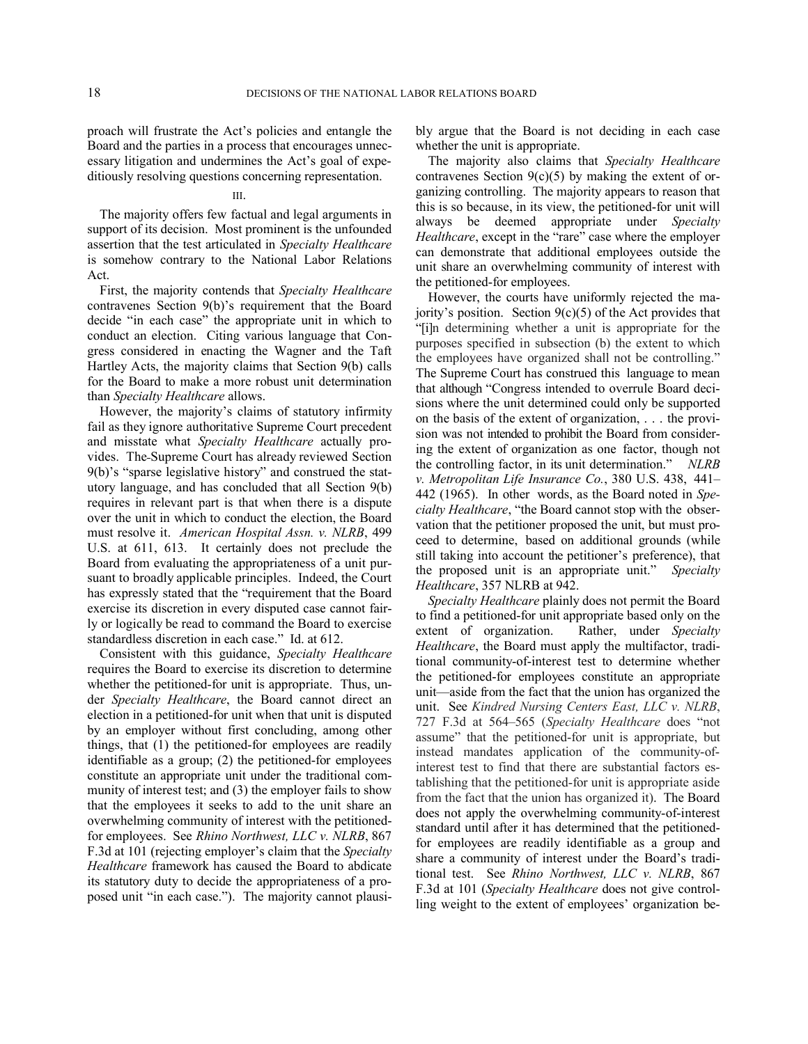proach will frustrate the Act's policies and entangle the Board and the parties in a process that encourages unnecessary litigation and undermines the Act's goal of expeditiously resolving questions concerning representation.

## III.

The majority offers few factual and legal arguments in support of its decision. Most prominent is the unfounded assertion that the test articulated in *Specialty Healthcare*  is somehow contrary to the National Labor Relations Act.

First, the majority contends that *Specialty Healthcare* contravenes Section 9(b)'s requirement that the Board decide "in each case" the appropriate unit in which to conduct an election. Citing various language that Congress considered in enacting the Wagner and the Taft Hartley Acts, the majority claims that Section 9(b) calls for the Board to make a more robust unit determination than *Specialty Healthcare* allows.

However, the majority's claims of statutory infirmity fail as they ignore authoritative Supreme Court precedent and misstate what *Specialty Healthcare* actually provides. The Supreme Court has already reviewed Section 9(b)'s "sparse legislative history" and construed the statutory language, and has concluded that all Section 9(b) requires in relevant part is that when there is a dispute over the unit in which to conduct the election, the Board must resolve it. *American Hospital Assn. v. NLRB*, 499 U.S. at 611, 613. It certainly does not preclude the Board from evaluating the appropriateness of a unit pursuant to broadly applicable principles. Indeed, the Court has expressly stated that the "requirement that the Board exercise its discretion in every disputed case cannot fairly or logically be read to command the Board to exercise standardless discretion in each case." Id. at 612.

Consistent with this guidance, *Specialty Healthcare* requires the Board to exercise its discretion to determine whether the petitioned-for unit is appropriate. Thus, under *Specialty Healthcare*, the Board cannot direct an election in a petitioned-for unit when that unit is disputed by an employer without first concluding, among other things, that (1) the petitioned-for employees are readily identifiable as a group; (2) the petitioned-for employees constitute an appropriate unit under the traditional community of interest test; and (3) the employer fails to show that the employees it seeks to add to the unit share an overwhelming community of interest with the petitionedfor employees. See *Rhino Northwest, LLC v. NLRB*, 867 F.3d at 101 (rejecting employer's claim that the *Specialty Healthcare* framework has caused the Board to abdicate its statutory duty to decide the appropriateness of a proposed unit "in each case."). The majority cannot plausibly argue that the Board is not deciding in each case whether the unit is appropriate.

The majority also claims that *Specialty Healthcare* contravenes Section  $9(c)(5)$  by making the extent of organizing controlling. The majority appears to reason that this is so because, in its view, the petitioned-for unit will always be deemed appropriate under *Specialty Healthcare*, except in the "rare" case where the employer can demonstrate that additional employees outside the unit share an overwhelming community of interest with the petitioned-for employees.

However, the courts have uniformly rejected the majority's position. Section  $9(c)(5)$  of the Act provides that "[i]n determining whether a unit is appropriate for the purposes specified in subsection (b) the extent to which the employees have organized shall not be controlling." The Supreme Court has construed this language to mean that although "Congress intended to overrule Board decisions where the unit determined could only be supported on the basis of the extent of organization, . . . the provision was not intended to prohibit the Board from considering the extent of organization as one factor, though not the controlling factor, in its unit determination." *NLRB v. Metropolitan Life Insurance Co.*, 380 U.S. 438, 441– 442 (1965). In other words, as the Board noted in *Specialty Healthcare*, "the Board cannot stop with the observation that the petitioner proposed the unit, but must proceed to determine, based on additional grounds (while still taking into account the petitioner's preference), that the proposed unit is an appropriate unit." *Specialty Healthcare*, 357 NLRB at 942.

*Specialty Healthcare* plainly does not permit the Board to find a petitioned-for unit appropriate based only on the extent of organization. Rather, under *Specialty Healthcare*, the Board must apply the multifactor, traditional community-of-interest test to determine whether the petitioned-for employees constitute an appropriate unit—aside from the fact that the union has organized the unit. See *Kindred Nursing Centers East, LLC v. NLRB*, 727 F.3d at 564–565 (*Specialty Healthcare* does "not assume" that the petitioned-for unit is appropriate, but instead mandates application of the community-ofinterest test to find that there are substantial factors establishing that the petitioned-for unit is appropriate aside from the fact that the union has organized it). The Board does not apply the overwhelming community-of-interest standard until after it has determined that the petitionedfor employees are readily identifiable as a group and share a community of interest under the Board's traditional test. See *Rhino Northwest, LLC v. NLRB*, 867 F.3d at 101 (*Specialty Healthcare* does not give controlling weight to the extent of employees' organization be-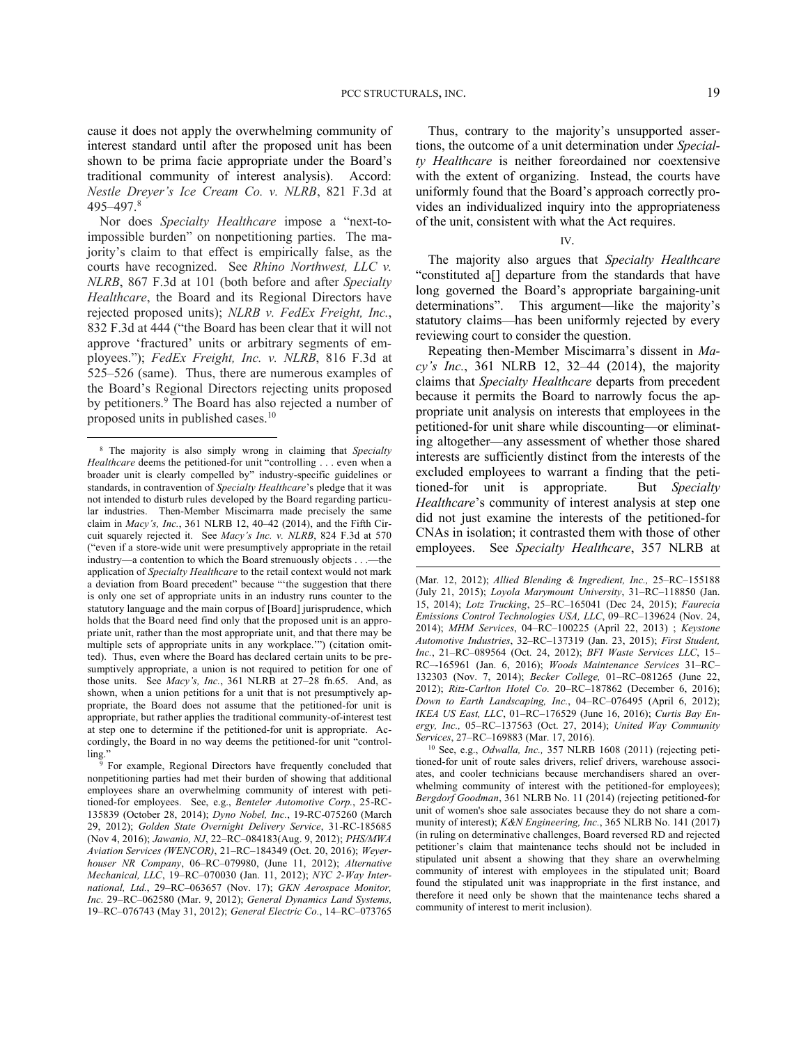cause it does not apply the overwhelming community of interest standard until after the proposed unit has been shown to be prima facie appropriate under the Board's traditional community of interest analysis). Accord: *Nestle Dreyer's Ice Cream Co. v. NLRB*, 821 F.3d at 495–497.<sup>8</sup>

Nor does *Specialty Healthcare* impose a "next-toimpossible burden" on nonpetitioning parties. The majority's claim to that effect is empirically false, as the courts have recognized. See *Rhino Northwest, LLC v. NLRB*, 867 F.3d at 101 (both before and after *Specialty Healthcare*, the Board and its Regional Directors have rejected proposed units); *NLRB v. FedEx Freight, Inc.*, 832 F.3d at 444 ("the Board has been clear that it will not approve 'fractured' units or arbitrary segments of employees."); *FedEx Freight, Inc. v. NLRB*, 816 F.3d at 525–526 (same). Thus, there are numerous examples of the Board's Regional Directors rejecting units proposed by petitioners.<sup>9</sup> The Board has also rejected a number of proposed units in published cases.<sup>10</sup>

<u>.</u>

Thus, contrary to the majority's unsupported assertions, the outcome of a unit determination under *Specialty Healthcare* is neither foreordained nor coextensive with the extent of organizing. Instead, the courts have uniformly found that the Board's approach correctly provides an individualized inquiry into the appropriateness of the unit, consistent with what the Act requires.

## IV.

The majority also argues that *Specialty Healthcare* "constituted a[] departure from the standards that have long governed the Board's appropriate bargaining-unit determinations". This argument—like the majority's statutory claims—has been uniformly rejected by every reviewing court to consider the question.

Repeating then-Member Miscimarra's dissent in *Macy's Inc.*, 361 NLRB 12, 32–44 (2014), the majority claims that *Specialty Healthcare* departs from precedent because it permits the Board to narrowly focus the appropriate unit analysis on interests that employees in the petitioned-for unit share while discounting—or eliminating altogether—any assessment of whether those shared interests are sufficiently distinct from the interests of the excluded employees to warrant a finding that the petitioned-for unit is appropriate. But *Specialty Healthcare*'s community of interest analysis at step one did not just examine the interests of the petitioned-for CNAs in isolation; it contrasted them with those of other employees. See *Specialty Healthcare*, 357 NLRB at

<sup>10</sup> See, e.g., *Odwalla, Inc.,* 357 NLRB 1608 (2011) (rejecting petitioned-for unit of route sales drivers, relief drivers, warehouse associates, and cooler technicians because merchandisers shared an overwhelming community of interest with the petitioned-for employees); *Bergdorf Goodman*, 361 NLRB No. 11 (2014) (rejecting petitioned-for unit of women's shoe sale associates because they do not share a community of interest); *K&N Engineering, Inc.*, 365 NLRB No. 141 (2017) (in ruling on determinative challenges, Board reversed RD and rejected petitioner's claim that maintenance techs should not be included in stipulated unit absent a showing that they share an overwhelming community of interest with employees in the stipulated unit; Board found the stipulated unit was inappropriate in the first instance, and therefore it need only be shown that the maintenance techs shared a community of interest to merit inclusion).

<sup>8</sup> The majority is also simply wrong in claiming that *Specialty Healthcare* deems the petitioned-for unit "controlling . . . even when a broader unit is clearly compelled by" industry-specific guidelines or standards, in contravention of *Specialty Healthcare*'s pledge that it was not intended to disturb rules developed by the Board regarding particular industries. Then-Member Miscimarra made precisely the same claim in *Macy's, Inc.*, 361 NLRB 12, 40–42 (2014), and the Fifth Circuit squarely rejected it. See *Macy's Inc. v. NLRB*, 824 F.3d at 570 ("even if a store-wide unit were presumptively appropriate in the retail industry—a contention to which the Board strenuously objects . . .—the application of *Specialty Healthcare* to the retail context would not mark a deviation from Board precedent" because "'the suggestion that there is only one set of appropriate units in an industry runs counter to the statutory language and the main corpus of [Board] jurisprudence, which holds that the Board need find only that the proposed unit is an appropriate unit, rather than the most appropriate unit, and that there may be multiple sets of appropriate units in any workplace.'") (citation omitted). Thus, even where the Board has declared certain units to be presumptively appropriate, a union is not required to petition for one of those units. See *Macy's, Inc.*, 361 NLRB at 27–28 fn.65. And, as shown, when a union petitions for a unit that is not presumptively appropriate, the Board does not assume that the petitioned-for unit is appropriate, but rather applies the traditional community-of-interest test at step one to determine if the petitioned-for unit is appropriate. Accordingly, the Board in no way deems the petitioned-for unit "controlling."

<sup>&</sup>lt;sup>9</sup> For example, Regional Directors have frequently concluded that nonpetitioning parties had met their burden of showing that additional employees share an overwhelming community of interest with petitioned-for employees. See, e.g., *Benteler Automotive Corp.*, 25-RC-135839 (October 28, 2014); *Dyno Nobel, Inc.*, 19-RC-075260 (March 29, 2012); *Golden State Overnight Delivery Service*, 31-RC-185685 (Nov 4, 2016); *Jawanio, NJ*, 22–RC–084183(Aug. 9, 2012); *PHS/MWA Aviation Services (WENCOR)*, 21–RC–184349 (Oct. 20, 2016); *Weyerhouser NR Company*, 06–RC–079980, (June 11, 2012); *Alternative Mechanical, LLC*, 19–RC–070030 (Jan. 11, 2012); *NYC 2-Way International, Ltd.*, 29–RC–063657 (Nov. 17); *GKN Aerospace Monitor, Inc.* 29–RC–062580 (Mar. 9, 2012); *General Dynamics Land Systems,* 19–RC–076743 (May 31, 2012); *General Electric Co.*, 14–RC–073765

<sup>(</sup>Mar. 12, 2012); *Allied Blending & Ingredient, Inc.,* 25–RC–155188 (July 21, 2015); *Loyola Marymount University*, 31–RC–118850 (Jan. 15, 2014); *Lotz Trucking*, 25–RC–165041 (Dec 24, 2015); *Faurecia Emissions Control Technologies USA, LLC*, 09–RC–139624 (Nov. 24, 2014); *MHM Services*, 04–RC–100225 (April 22, 2013) ; *Keystone Automotive Industries*, 32–RC–137319 (Jan. 23, 2015); *First Student, Inc.*, 21–RC–089564 (Oct. 24, 2012); *BFI Waste Services LLC*, 15– RC–-165961 (Jan. 6, 2016); *Woods Maintenance Services* 31–RC– 132303 (Nov. 7, 2014); *Becker College,* 01–RC–081265 (June 22, 2012); *Ritz-Carlton Hotel Co.* 20–RC–187862 (December 6, 2016); *Down to Earth Landscaping, Inc.*, 04–RC–076495 (April 6, 2012); *IKEA US East, LLC*, 01–RC–176529 (June 16, 2016); *Curtis Bay Energy, Inc.,* 05–RC–137563 (Oct. 27, 2014); *United Way Community Services*, 27–RC–169883 (Mar. 17, 2016).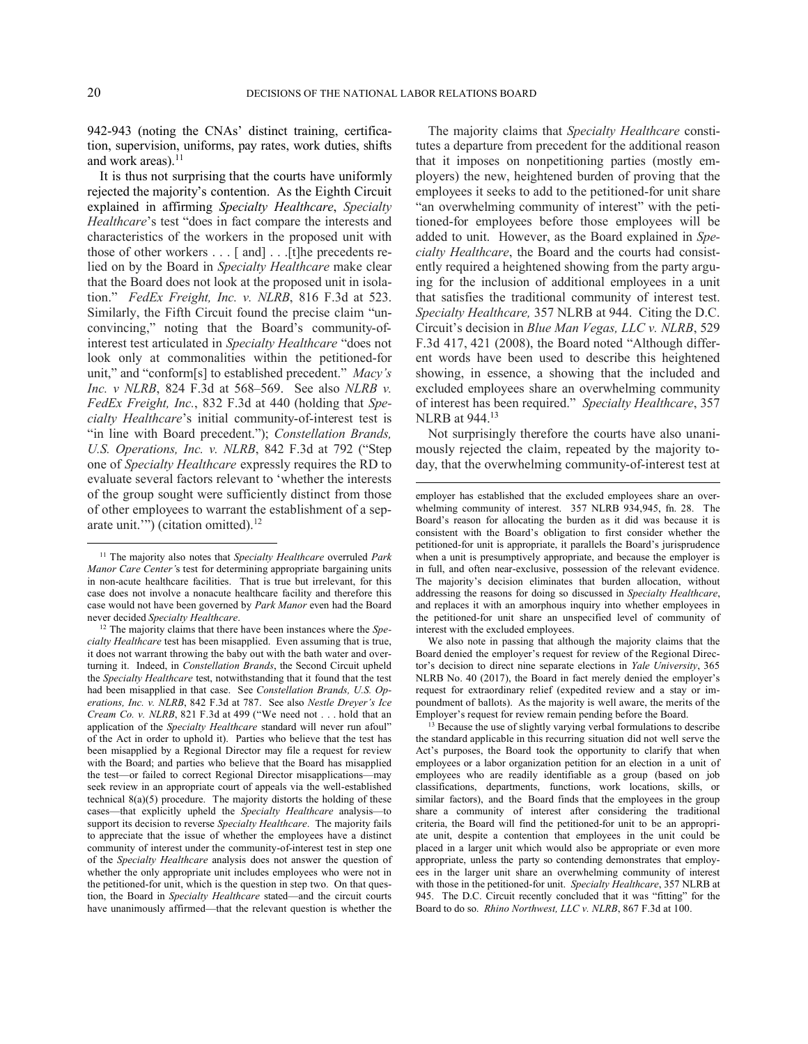1

l

942-943 (noting the CNAs' distinct training, certification, supervision, uniforms, pay rates, work duties, shifts and work areas). $11$ 

It is thus not surprising that the courts have uniformly rejected the majority's contention. As the Eighth Circuit explained in affirming *Specialty Healthcare*, *Specialty Healthcare*'s test "does in fact compare the interests and characteristics of the workers in the proposed unit with those of other workers . . . [ and] . . .[t]he precedents relied on by the Board in *Specialty Healthcare* make clear that the Board does not look at the proposed unit in isolation." *FedEx Freight, Inc. v. NLRB*, 816 F.3d at 523. Similarly, the Fifth Circuit found the precise claim "unconvincing," noting that the Board's community-ofinterest test articulated in *Specialty Healthcare* "does not look only at commonalities within the petitioned-for unit," and "conform[s] to established precedent." *Macy's Inc. v NLRB*, 824 F.3d at 568–569. See also *NLRB v. FedEx Freight, Inc.*, 832 F.3d at 440 (holding that *Specialty Healthcare*'s initial community-of-interest test is "in line with Board precedent."); *Constellation Brands, U.S. Operations, Inc. v. NLRB*, 842 F.3d at 792 ("Step one of *Specialty Healthcare* expressly requires the RD to evaluate several factors relevant to 'whether the interests of the group sought were sufficiently distinct from those of other employees to warrant the establishment of a separate unit."") (citation omitted). $12$ 

The majority claims that *Specialty Healthcare* constitutes a departure from precedent for the additional reason that it imposes on nonpetitioning parties (mostly employers) the new, heightened burden of proving that the employees it seeks to add to the petitioned-for unit share "an overwhelming community of interest" with the petitioned-for employees before those employees will be added to unit. However, as the Board explained in *Specialty Healthcare*, the Board and the courts had consistently required a heightened showing from the party arguing for the inclusion of additional employees in a unit that satisfies the traditional community of interest test. *Specialty Healthcare,* 357 NLRB at 944. Citing the D.C. Circuit's decision in *Blue Man Vegas, LLC v. NLRB*, 529 F.3d 417, 421 (2008), the Board noted "Although different words have been used to describe this heightened showing, in essence, a showing that the included and excluded employees share an overwhelming community of interest has been required." *Specialty Healthcare*, 357 NLRB at 944.<sup>13</sup>

Not surprisingly therefore the courts have also unanimously rejected the claim, repeated by the majority today, that the overwhelming community-of-interest test at

We also note in passing that although the majority claims that the Board denied the employer's request for review of the Regional Director's decision to direct nine separate elections in *Yale University*, 365 NLRB No. 40 (2017), the Board in fact merely denied the employer's request for extraordinary relief (expedited review and a stay or impoundment of ballots). As the majority is well aware, the merits of the Employer's request for review remain pending before the Board.

<sup>11</sup> The majority also notes that *Specialty Healthcare* overruled *Park Manor Care Center'*s test for determining appropriate bargaining units in non-acute healthcare facilities. That is true but irrelevant, for this case does not involve a nonacute healthcare facility and therefore this case would not have been governed by *Park Manor* even had the Board never decided *Specialty Healthcare*.

<sup>12</sup> The majority claims that there have been instances where the *Specialty Healthcare* test has been misapplied. Even assuming that is true, it does not warrant throwing the baby out with the bath water and overturning it. Indeed, in *Constellation Brands*, the Second Circuit upheld the *Specialty Healthcare* test, notwithstanding that it found that the test had been misapplied in that case. See *Constellation Brands, U.S. Operations, Inc. v. NLRB*, 842 F.3d at 787. See also *Nestle Dreyer's Ice Cream Co. v. NLRB*, 821 F.3d at 499 ("We need not . . . hold that an application of the *Specialty Healthcare* standard will never run afoul" of the Act in order to uphold it). Parties who believe that the test has been misapplied by a Regional Director may file a request for review with the Board; and parties who believe that the Board has misapplied the test—or failed to correct Regional Director misapplications—may seek review in an appropriate court of appeals via the well-established technical  $8(a)(5)$  procedure. The majority distorts the holding of these cases—that explicitly upheld the *Specialty Healthcare* analysis—to support its decision to reverse *Specialty Healthcare*. The majority fails to appreciate that the issue of whether the employees have a distinct community of interest under the community-of-interest test in step one of the *Specialty Healthcare* analysis does not answer the question of whether the only appropriate unit includes employees who were not in the petitioned-for unit, which is the question in step two. On that question, the Board in *Specialty Healthcare* stated—and the circuit courts have unanimously affirmed—that the relevant question is whether the

employer has established that the excluded employees share an overwhelming community of interest. 357 NLRB 934,945, fn. 28. The Board's reason for allocating the burden as it did was because it is consistent with the Board's obligation to first consider whether the petitioned-for unit is appropriate, it parallels the Board's jurisprudence when a unit is presumptively appropriate, and because the employer is in full, and often near-exclusive, possession of the relevant evidence. The majority's decision eliminates that burden allocation, without addressing the reasons for doing so discussed in *Specialty Healthcare*, and replaces it with an amorphous inquiry into whether employees in the petitioned-for unit share an unspecified level of community of interest with the excluded employees.

<sup>&</sup>lt;sup>13</sup> Because the use of slightly varying verbal formulations to describe the standard applicable in this recurring situation did not well serve the Act's purposes, the Board took the opportunity to clarify that when employees or a labor organization petition for an election in a unit of employees who are readily identifiable as a group (based on job classifications, departments, functions, work locations, skills, or similar factors), and the Board finds that the employees in the group share a community of interest after considering the traditional criteria, the Board will find the petitioned-for unit to be an appropriate unit, despite a contention that employees in the unit could be placed in a larger unit which would also be appropriate or even more appropriate, unless the party so contending demonstrates that employees in the larger unit share an overwhelming community of interest with those in the petitioned-for unit. *Specialty Healthcare*, 357 NLRB at 945. The D.C. Circuit recently concluded that it was "fitting" for the Board to do so. *Rhino Northwest, LLC v. NLRB*, 867 F.3d at 100.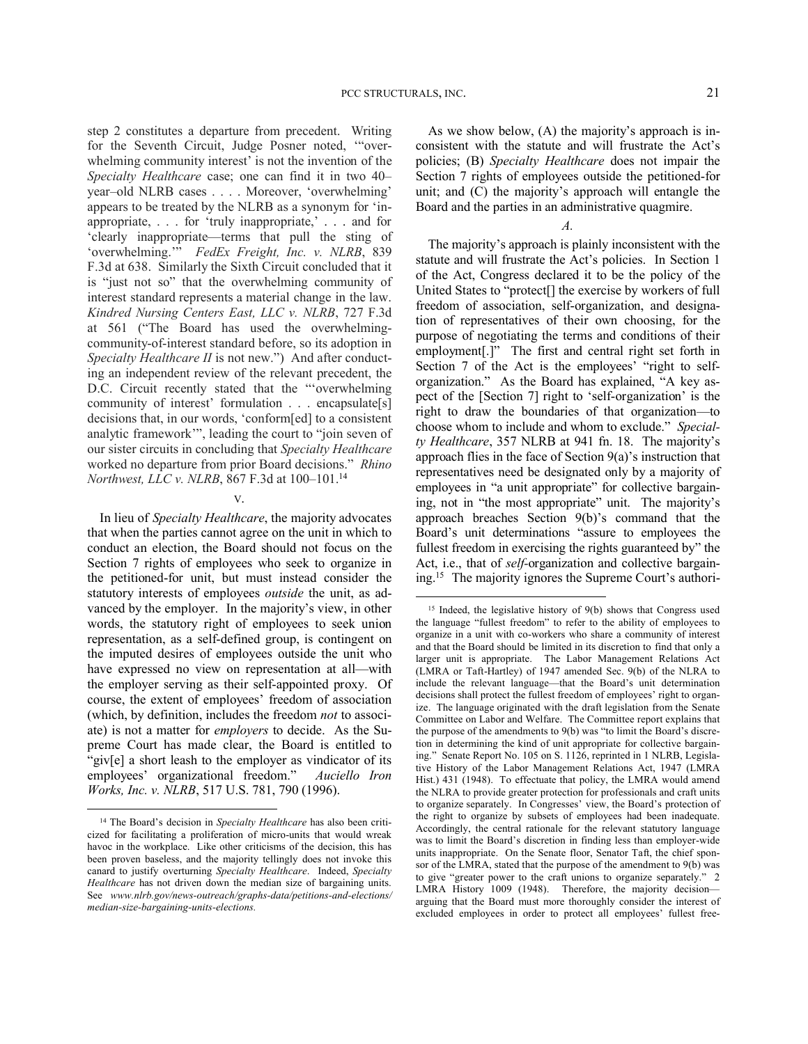step 2 constitutes a departure from precedent. Writing for the Seventh Circuit, Judge Posner noted, '"overwhelming community interest' is not the invention of the *Specialty Healthcare* case; one can find it in two 40– year–old NLRB cases . . . . Moreover, 'overwhelming' appears to be treated by the NLRB as a synonym for 'inappropriate, . . . for 'truly inappropriate,' . . . and for 'clearly inappropriate—terms that pull the sting of 'overwhelming.'" *FedEx Freight, Inc. v. NLRB*, 839 F.3d at 638. Similarly the Sixth Circuit concluded that it is "just not so" that the overwhelming community of interest standard represents a material change in the law. *Kindred Nursing Centers East, LLC v. NLRB*, 727 F.3d at 561 ("The Board has used the overwhelmingcommunity-of-interest standard before, so its adoption in *Specialty Healthcare II* is not new.") And after conducting an independent review of the relevant precedent, the D.C. Circuit recently stated that the "'overwhelming community of interest' formulation . . . encapsulate[s] decisions that, in our words, 'conform[ed] to a consistent analytic framework'", leading the court to "join seven of our sister circuits in concluding that *Specialty Healthcare* worked no departure from prior Board decisions." *Rhino Northwest, LLC v. NLRB*, 867 F.3d at 100–101.<sup>14</sup>

#### V.

In lieu of *Specialty Healthcare*, the majority advocates that when the parties cannot agree on the unit in which to conduct an election, the Board should not focus on the Section 7 rights of employees who seek to organize in the petitioned-for unit, but must instead consider the statutory interests of employees *outside* the unit, as advanced by the employer. In the majority's view, in other words, the statutory right of employees to seek union representation, as a self-defined group, is contingent on the imputed desires of employees outside the unit who have expressed no view on representation at all—with the employer serving as their self-appointed proxy. Of course, the extent of employees' freedom of association (which, by definition, includes the freedom *not* to associate) is not a matter for *employers* to decide. As the Supreme Court has made clear, the Board is entitled to "giv[e] a short leash to the employer as vindicator of its employees' organizational freedom." *Auciello Iron Works, Inc. v. NLRB*, 517 U.S. 781, 790 (1996).

<u>.</u>

As we show below, (A) the majority's approach is inconsistent with the statute and will frustrate the Act's policies; (B) *Specialty Healthcare* does not impair the Section 7 rights of employees outside the petitioned-for unit; and (C) the majority's approach will entangle the Board and the parties in an administrative quagmire.

*A.*

The majority's approach is plainly inconsistent with the statute and will frustrate the Act's policies. In Section 1 of the Act, Congress declared it to be the policy of the United States to "protect[] the exercise by workers of full freedom of association, self-organization, and designation of representatives of their own choosing, for the purpose of negotiating the terms and conditions of their employment[.]" The first and central right set forth in Section 7 of the Act is the employees' "right to selforganization." As the Board has explained, "A key aspect of the [Section 7] right to 'self-organization' is the right to draw the boundaries of that organization—to choose whom to include and whom to exclude." *Specialty Healthcare*, 357 NLRB at 941 fn. 18. The majority's approach flies in the face of Section 9(a)'s instruction that representatives need be designated only by a majority of employees in "a unit appropriate" for collective bargaining, not in "the most appropriate" unit. The majority's approach breaches Section 9(b)'s command that the Board's unit determinations "assure to employees the fullest freedom in exercising the rights guaranteed by" the Act, i.e., that of *self-*organization and collective bargaining.<sup>15</sup> The majority ignores the Supreme Court's authori-

<sup>&</sup>lt;sup>14</sup> The Board's decision in *Specialty Healthcare* has also been criticized for facilitating a proliferation of micro-units that would wreak havoc in the workplace. Like other criticisms of the decision, this has been proven baseless, and the majority tellingly does not invoke this canard to justify overturning *Specialty Healthcare*. Indeed, *Specialty Healthcare* has not driven down the median size of bargaining units. See *www.nlrb.gov/news-outreach/graphs-data/petitions-and-elections/ median-size-bargaining-units-elections.*

 $15$  Indeed, the legislative history of  $9(b)$  shows that Congress used the language "fullest freedom" to refer to the ability of employees to organize in a unit with co-workers who share a community of interest and that the Board should be limited in its discretion to find that only a larger unit is appropriate. The Labor Management Relations Act (LMRA or Taft-Hartley) of 1947 amended Sec. 9(b) of the NLRA to include the relevant language—that the Board's unit determination decisions shall protect the fullest freedom of employees' right to organize. The language originated with the draft legislation from the Senate Committee on Labor and Welfare. The Committee report explains that the purpose of the amendments to 9(b) was "to limit the Board's discretion in determining the kind of unit appropriate for collective bargaining." Senate Report No. 105 on S. 1126, reprinted in 1 NLRB, Legislative History of the Labor Management Relations Act, 1947 (LMRA Hist.) 431 (1948). To effectuate that policy, the LMRA would amend the NLRA to provide greater protection for professionals and craft units to organize separately. In Congresses' view, the Board's protection of the right to organize by subsets of employees had been inadequate. Accordingly, the central rationale for the relevant statutory language was to limit the Board's discretion in finding less than employer-wide units inappropriate. On the Senate floor, Senator Taft, the chief sponsor of the LMRA, stated that the purpose of the amendment to 9(b) was to give "greater power to the craft unions to organize separately." 2 LMRA History 1009 (1948). Therefore, the majority decision arguing that the Board must more thoroughly consider the interest of excluded employees in order to protect all employees' fullest free-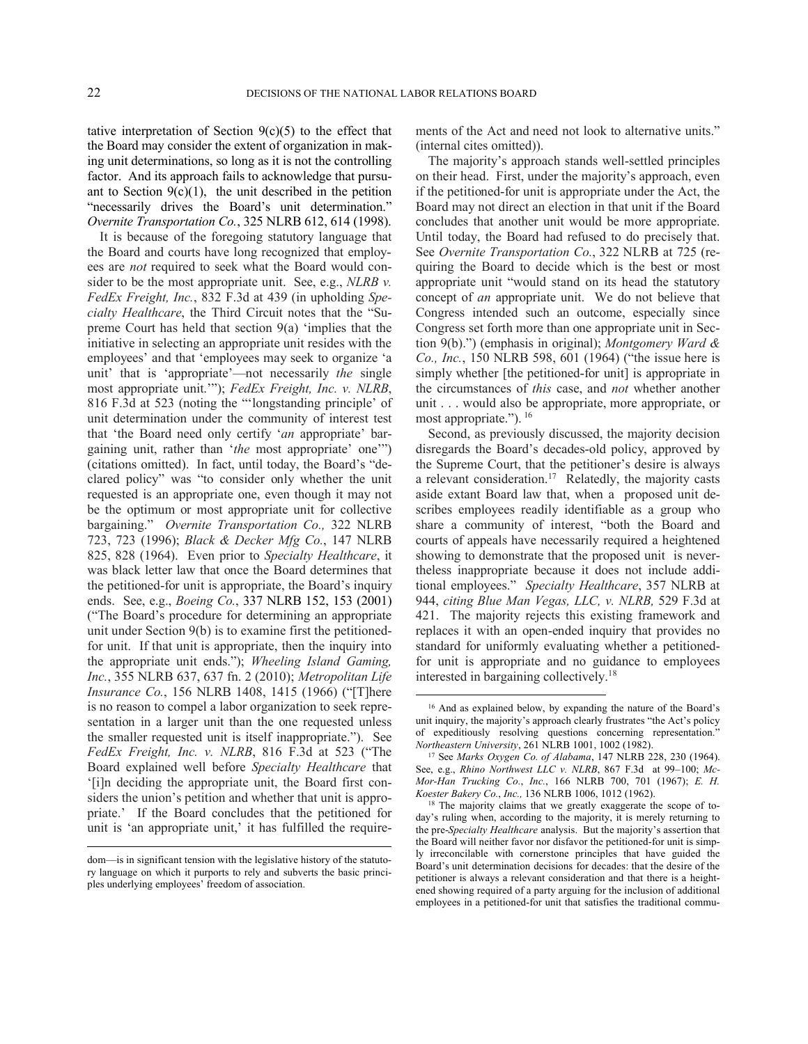l

tative interpretation of Section  $9(c)(5)$  to the effect that the Board may consider the extent of organization in making unit determinations, so long as it is not the controlling factor. And its approach fails to acknowledge that pursuant to Section  $9(c)(1)$ , the unit described in the petition "necessarily drives the Board's unit determination." *Overnite Transportation Co.*, 325 NLRB 612, 614 (1998).

It is because of the foregoing statutory language that the Board and courts have long recognized that employees are *not* required to seek what the Board would consider to be the most appropriate unit. See, e.g., *NLRB v. FedEx Freight, Inc.*, 832 F.3d at 439 (in upholding *Specialty Healthcare*, the Third Circuit notes that the "Supreme Court has held that section 9(a) 'implies that the initiative in selecting an appropriate unit resides with the employees' and that 'employees may seek to organize 'a unit' that is 'appropriate'—not necessarily *the* single most appropriate unit.'"); *FedEx Freight, Inc. v. NLRB*, 816 F.3d at 523 (noting the "'longstanding principle' of unit determination under the community of interest test that 'the Board need only certify '*an* appropriate' bargaining unit, rather than '*the* most appropriate' one'") (citations omitted). In fact, until today, the Board's "declared policy" was "to consider only whether the unit requested is an appropriate one, even though it may not be the optimum or most appropriate unit for collective bargaining." *Overnite Transportation Co.,* 322 NLRB 723, 723 (1996); *Black & Decker Mfg Co.*, 147 NLRB 825, 828 (1964). Even prior to *Specialty Healthcare*, it was black letter law that once the Board determines that the petitioned-for unit is appropriate, the Board's inquiry ends. See, e.g., *Boeing Co.*, 337 NLRB 152, 153 (2001) ("The Board's procedure for determining an appropriate unit under Section 9(b) is to examine first the petitionedfor unit. If that unit is appropriate, then the inquiry into the appropriate unit ends."); *Wheeling Island Gaming, Inc.*, 355 NLRB 637, 637 fn. 2 (2010); *Metropolitan Life Insurance Co.*, 156 NLRB 1408, 1415 (1966) ("[T]here is no reason to compel a labor organization to seek representation in a larger unit than the one requested unless the smaller requested unit is itself inappropriate."). See *FedEx Freight, Inc. v. NLRB*, 816 F.3d at 523 ("The Board explained well before *Specialty Healthcare* that '[i]n deciding the appropriate unit, the Board first considers the union's petition and whether that unit is appropriate.' If the Board concludes that the petitioned for unit is 'an appropriate unit,' it has fulfilled the requirements of the Act and need not look to alternative units." (internal cites omitted)).

The majority's approach stands well-settled principles on their head. First, under the majority's approach, even if the petitioned-for unit is appropriate under the Act, the Board may not direct an election in that unit if the Board concludes that another unit would be more appropriate. Until today, the Board had refused to do precisely that. See *Overnite Transportation Co.*, 322 NLRB at 725 (requiring the Board to decide which is the best or most appropriate unit "would stand on its head the statutory concept of *an* appropriate unit. We do not believe that Congress intended such an outcome, especially since Congress set forth more than one appropriate unit in Section 9(b).") (emphasis in original); *Montgomery Ward & Co., Inc.*, 150 NLRB 598, 601 (1964) ("the issue here is simply whether [the petitioned-for unit] is appropriate in the circumstances of *this* case, and *not* whether another unit . . . would also be appropriate, more appropriate, or most appropriate."). <sup>16</sup>

Second, as previously discussed, the majority decision disregards the Board's decades-old policy, approved by the Supreme Court, that the petitioner's desire is always a relevant consideration.<sup>17</sup> Relatedly, the majority casts aside extant Board law that, when a proposed unit describes employees readily identifiable as a group who share a community of interest, "both the Board and courts of appeals have necessarily required a heightened showing to demonstrate that the proposed unit is nevertheless inappropriate because it does not include additional employees." *Specialty Healthcare*, 357 NLRB at 944, *citing Blue Man Vegas, LLC, v. NLRB,* 529 F.3d at 421. The majority rejects this existing framework and replaces it with an open-ended inquiry that provides no standard for uniformly evaluating whether a petitionedfor unit is appropriate and no guidance to employees interested in bargaining collectively.<sup>18</sup>

dom—is in significant tension with the legislative history of the statutory language on which it purports to rely and subverts the basic principles underlying employees' freedom of association.

<sup>16</sup> And as explained below, by expanding the nature of the Board's unit inquiry, the majority's approach clearly frustrates "the Act's policy of expeditiously resolving questions concerning representation." *Northeastern University*, 261 NLRB 1001, 1002 (1982).

<sup>17</sup> See *Marks Oxygen Co. of Alabama*, 147 NLRB 228, 230 (1964). See, e.g., *Rhino Northwest LLC v. NLRB*, 867 F.3d at 99–100; *Mc-Mor-Han Trucking Co.*, *Inc.*, 166 NLRB 700, 701 (1967); *E. H. Koester Bakery Co.*, *Inc.,* 136 NLRB 1006, 1012 (1962).

<sup>&</sup>lt;sup>18</sup> The majority claims that we greatly exaggerate the scope of today's ruling when, according to the majority, it is merely returning to the pre-*Specialty Healthcare* analysis. But the majority's assertion that the Board will neither favor nor disfavor the petitioned-for unit is simply irreconcilable with cornerstone principles that have guided the Board's unit determination decisions for decades: that the desire of the petitioner is always a relevant consideration and that there is a heightened showing required of a party arguing for the inclusion of additional employees in a petitioned-for unit that satisfies the traditional commu-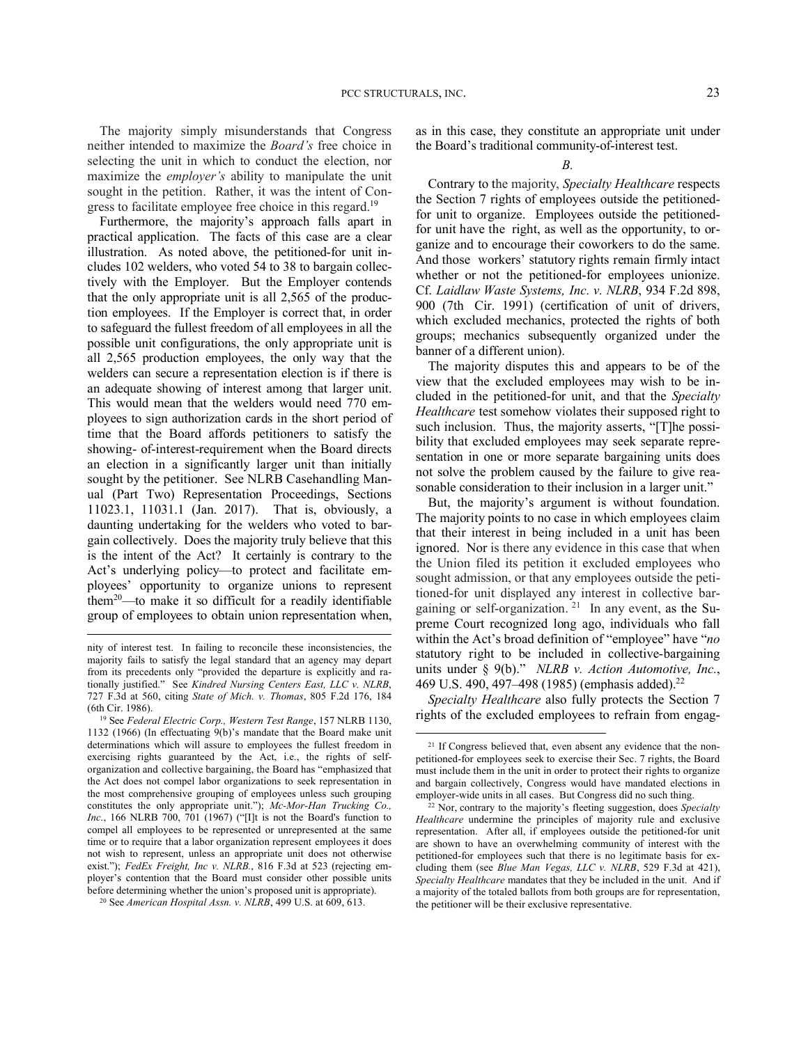The majority simply misunderstands that Congress neither intended to maximize the *Board's* free choice in selecting the unit in which to conduct the election, nor maximize the *employer's* ability to manipulate the unit sought in the petition. Rather, it was the intent of Congress to facilitate employee free choice in this regard.<sup>19</sup>

Furthermore, the majority's approach falls apart in practical application. The facts of this case are a clear illustration. As noted above, the petitioned-for unit includes 102 welders, who voted 54 to 38 to bargain collectively with the Employer. But the Employer contends that the only appropriate unit is all 2,565 of the production employees. If the Employer is correct that, in order to safeguard the fullest freedom of all employees in all the possible unit configurations, the only appropriate unit is all 2,565 production employees, the only way that the welders can secure a representation election is if there is an adequate showing of interest among that larger unit. This would mean that the welders would need 770 employees to sign authorization cards in the short period of time that the Board affords petitioners to satisfy the showing- of-interest-requirement when the Board directs an election in a significantly larger unit than initially sought by the petitioner. See NLRB Casehandling Manual (Part Two) Representation Proceedings, Sections 11023.1, 11031.1 (Jan. 2017). That is, obviously, a daunting undertaking for the welders who voted to bargain collectively. Does the majority truly believe that this is the intent of the Act? It certainly is contrary to the Act's underlying policy—to protect and facilitate employees' opportunity to organize unions to represent them<sup>20</sup>—to make it so difficult for a readily identifiable group of employees to obtain union representation when,

l

as in this case, they constitute an appropriate unit under the Board's traditional community-of-interest test.

Contrary to the majority, *Specialty Healthcare* respects the Section 7 rights of employees outside the petitionedfor unit to organize. Employees outside the petitionedfor unit have the right, as well as the opportunity, to organize and to encourage their coworkers to do the same. And those workers' statutory rights remain firmly intact whether or not the petitioned-for employees unionize. Cf. *Laidlaw Waste Systems, Inc. v. NLRB*, 934 F.2d 898, 900 (7th Cir. 1991) (certification of unit of drivers, which excluded mechanics, protected the rights of both groups; mechanics subsequently organized under the banner of a different union).

The majority disputes this and appears to be of the view that the excluded employees may wish to be included in the petitioned-for unit, and that the *Specialty Healthcare* test somehow violates their supposed right to such inclusion. Thus, the majority asserts, "[T]he possibility that excluded employees may seek separate representation in one or more separate bargaining units does not solve the problem caused by the failure to give reasonable consideration to their inclusion in a larger unit."

But, the majority's argument is without foundation. The majority points to no case in which employees claim that their interest in being included in a unit has been ignored. Nor is there any evidence in this case that when the Union filed its petition it excluded employees who sought admission, or that any employees outside the petitioned-for unit displayed any interest in collective bargaining or self-organization.  $21$  In any event, as the Supreme Court recognized long ago, individuals who fall within the Act's broad definition of "employee" have "*no* statutory right to be included in collective-bargaining units under § 9(b)." *NLRB v. Action Automotive, Inc.*, 469 U.S. 490, 497–498 (1985) (emphasis added).<sup>22</sup>

*Specialty Healthcare* also fully protects the Section 7 rights of the excluded employees to refrain from engag-

nity of interest test. In failing to reconcile these inconsistencies, the majority fails to satisfy the legal standard that an agency may depart from its precedents only "provided the departure is explicitly and rationally justified." See *Kindred Nursing Centers East, LLC v. NLRB*, 727 F.3d at 560, citing *State of Mich. v. Thomas*, 805 F.2d 176, 184 (6th Cir. 1986).

<sup>19</sup> See *Federal Electric Corp., Western Test Range*, 157 NLRB 1130, 1132 (1966) (In effectuating 9(b)'s mandate that the Board make unit determinations which will assure to employees the fullest freedom in exercising rights guaranteed by the Act, i.e., the rights of selforganization and collective bargaining, the Board has "emphasized that the Act does not compel labor organizations to seek representation in the most comprehensive grouping of employees unless such grouping constitutes the only appropriate unit."); *Mc-Mor-Han Trucking Co., Inc.*, 166 NLRB 700, 701 (1967) ("[I]t is not the Board's function to compel all employees to be represented or unrepresented at the same time or to require that a labor organization represent employees it does not wish to represent, unless an appropriate unit does not otherwise exist."); *FedEx Freight, Inc v. NLRB.*, 816 F.3d at 523 (rejecting employer's contention that the Board must consider other possible units before determining whether the union's proposed unit is appropriate).

<sup>20</sup> See *American Hospital Assn. v. NLRB*, 499 U.S. at 609, 613.

<sup>&</sup>lt;sup>21</sup> If Congress believed that, even absent any evidence that the nonpetitioned-for employees seek to exercise their Sec. 7 rights, the Board must include them in the unit in order to protect their rights to organize and bargain collectively, Congress would have mandated elections in employer-wide units in all cases. But Congress did no such thing.

<sup>22</sup> Nor, contrary to the majority's fleeting suggestion, does *Specialty Healthcare* undermine the principles of majority rule and exclusive representation. After all, if employees outside the petitioned-for unit are shown to have an overwhelming community of interest with the petitioned-for employees such that there is no legitimate basis for excluding them (see *Blue Man Vegas, LLC v. NLRB*, 529 F.3d at 421), *Specialty Healthcare* mandates that they be included in the unit. And if a majority of the totaled ballots from both groups are for representation, the petitioner will be their exclusive representative.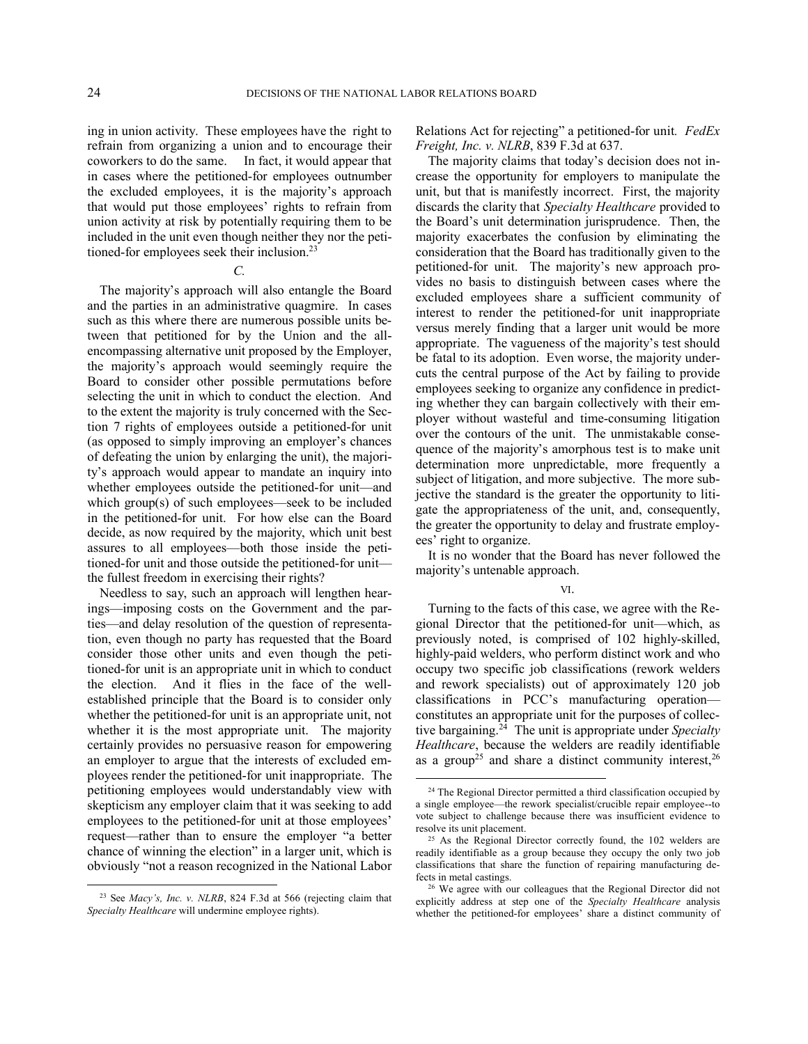ing in union activity. These employees have the right to refrain from organizing a union and to encourage their coworkers to do the same. In fact, it would appear that in cases where the petitioned-for employees outnumber the excluded employees, it is the majority's approach that would put those employees' rights to refrain from union activity at risk by potentially requiring them to be included in the unit even though neither they nor the petitioned-for employees seek their inclusion.<sup>23</sup>

#### *C.*

The majority's approach will also entangle the Board and the parties in an administrative quagmire. In cases such as this where there are numerous possible units between that petitioned for by the Union and the allencompassing alternative unit proposed by the Employer, the majority's approach would seemingly require the Board to consider other possible permutations before selecting the unit in which to conduct the election. And to the extent the majority is truly concerned with the Section 7 rights of employees outside a petitioned-for unit (as opposed to simply improving an employer's chances of defeating the union by enlarging the unit), the majority's approach would appear to mandate an inquiry into whether employees outside the petitioned-for unit—and which group(s) of such employees—seek to be included in the petitioned-for unit. For how else can the Board decide, as now required by the majority, which unit best assures to all employees—both those inside the petitioned-for unit and those outside the petitioned-for unit the fullest freedom in exercising their rights?

Needless to say, such an approach will lengthen hearings—imposing costs on the Government and the parties—and delay resolution of the question of representation, even though no party has requested that the Board consider those other units and even though the petitioned-for unit is an appropriate unit in which to conduct the election. And it flies in the face of the wellestablished principle that the Board is to consider only whether the petitioned-for unit is an appropriate unit, not whether it is the most appropriate unit. The majority certainly provides no persuasive reason for empowering an employer to argue that the interests of excluded employees render the petitioned-for unit inappropriate. The petitioning employees would understandably view with skepticism any employer claim that it was seeking to add employees to the petitioned-for unit at those employees' request—rather than to ensure the employer "a better chance of winning the election" in a larger unit, which is obviously "not a reason recognized in the National Labor

1

Relations Act for rejecting" a petitioned-for unit*. FedEx Freight, Inc. v. NLRB*, 839 F.3d at 637.

The majority claims that today's decision does not increase the opportunity for employers to manipulate the unit, but that is manifestly incorrect. First, the majority discards the clarity that *Specialty Healthcare* provided to the Board's unit determination jurisprudence. Then, the majority exacerbates the confusion by eliminating the consideration that the Board has traditionally given to the petitioned-for unit. The majority's new approach provides no basis to distinguish between cases where the excluded employees share a sufficient community of interest to render the petitioned-for unit inappropriate versus merely finding that a larger unit would be more appropriate. The vagueness of the majority's test should be fatal to its adoption. Even worse, the majority undercuts the central purpose of the Act by failing to provide employees seeking to organize any confidence in predicting whether they can bargain collectively with their employer without wasteful and time-consuming litigation over the contours of the unit. The unmistakable consequence of the majority's amorphous test is to make unit determination more unpredictable, more frequently a subject of litigation, and more subjective. The more subjective the standard is the greater the opportunity to litigate the appropriateness of the unit, and, consequently, the greater the opportunity to delay and frustrate employees' right to organize.

It is no wonder that the Board has never followed the majority's untenable approach.

#### VI.

Turning to the facts of this case, we agree with the Regional Director that the petitioned-for unit—which, as previously noted, is comprised of 102 highly-skilled, highly-paid welders, who perform distinct work and who occupy two specific job classifications (rework welders and rework specialists) out of approximately 120 job classifications in PCC's manufacturing operation constitutes an appropriate unit for the purposes of collective bargaining.<sup>24</sup> The unit is appropriate under *Specialty Healthcare*, because the welders are readily identifiable as a group<sup>25</sup> and share a distinct community interest,  $26$ 

<sup>23</sup> See *Macy's, Inc. v. NLRB*, 824 F.3d at 566 (rejecting claim that *Specialty Healthcare* will undermine employee rights).

<sup>&</sup>lt;sup>24</sup> The Regional Director permitted a third classification occupied by a single employee—the rework specialist/crucible repair employee--to vote subject to challenge because there was insufficient evidence to resolve its unit placement.

<sup>&</sup>lt;sup>25</sup> As the Regional Director correctly found, the 102 welders are readily identifiable as a group because they occupy the only two job classifications that share the function of repairing manufacturing defects in metal castings.

<sup>26</sup> We agree with our colleagues that the Regional Director did not explicitly address at step one of the *Specialty Healthcare* analysis whether the petitioned-for employees' share a distinct community of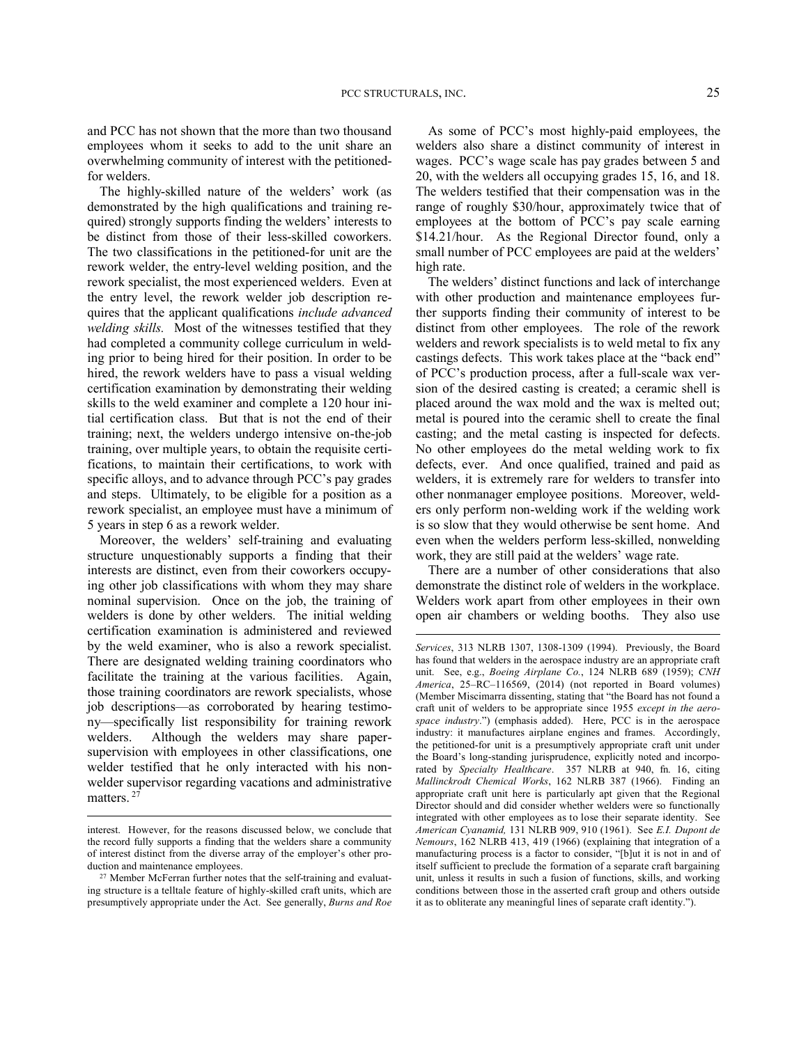and PCC has not shown that the more than two thousand employees whom it seeks to add to the unit share an overwhelming community of interest with the petitionedfor welders.

The highly-skilled nature of the welders' work (as demonstrated by the high qualifications and training required) strongly supports finding the welders' interests to be distinct from those of their less-skilled coworkers. The two classifications in the petitioned-for unit are the rework welder, the entry-level welding position, and the rework specialist, the most experienced welders. Even at the entry level, the rework welder job description requires that the applicant qualifications *include advanced welding skills.* Most of the witnesses testified that they had completed a community college curriculum in welding prior to being hired for their position. In order to be hired, the rework welders have to pass a visual welding certification examination by demonstrating their welding skills to the weld examiner and complete a 120 hour initial certification class. But that is not the end of their training; next, the welders undergo intensive on-the-job training, over multiple years, to obtain the requisite certifications, to maintain their certifications, to work with specific alloys, and to advance through PCC's pay grades and steps. Ultimately, to be eligible for a position as a rework specialist, an employee must have a minimum of 5 years in step 6 as a rework welder.

Moreover, the welders' self-training and evaluating structure unquestionably supports a finding that their interests are distinct, even from their coworkers occupying other job classifications with whom they may share nominal supervision. Once on the job, the training of welders is done by other welders. The initial welding certification examination is administered and reviewed by the weld examiner, who is also a rework specialist. There are designated welding training coordinators who facilitate the training at the various facilities. Again, those training coordinators are rework specialists, whose job descriptions—as corroborated by hearing testimony—specifically list responsibility for training rework welders. Although the welders may share papersupervision with employees in other classifications, one welder testified that he only interacted with his nonwelder supervisor regarding vacations and administrative matters.<sup>27</sup>

l

As some of PCC's most highly-paid employees, the welders also share a distinct community of interest in wages. PCC's wage scale has pay grades between 5 and 20, with the welders all occupying grades 15, 16, and 18. The welders testified that their compensation was in the range of roughly \$30/hour, approximately twice that of employees at the bottom of PCC's pay scale earning \$14.21/hour. As the Regional Director found, only a small number of PCC employees are paid at the welders' high rate.

The welders' distinct functions and lack of interchange with other production and maintenance employees further supports finding their community of interest to be distinct from other employees. The role of the rework welders and rework specialists is to weld metal to fix any castings defects. This work takes place at the "back end" of PCC's production process, after a full-scale wax version of the desired casting is created; a ceramic shell is placed around the wax mold and the wax is melted out; metal is poured into the ceramic shell to create the final casting; and the metal casting is inspected for defects. No other employees do the metal welding work to fix defects, ever. And once qualified, trained and paid as welders, it is extremely rare for welders to transfer into other nonmanager employee positions. Moreover, welders only perform non-welding work if the welding work is so slow that they would otherwise be sent home. And even when the welders perform less-skilled, nonwelding work, they are still paid at the welders' wage rate.

There are a number of other considerations that also demonstrate the distinct role of welders in the workplace. Welders work apart from other employees in their own open air chambers or welding booths. They also use

interest. However, for the reasons discussed below, we conclude that the record fully supports a finding that the welders share a community of interest distinct from the diverse array of the employer's other production and maintenance employees.

<sup>&</sup>lt;sup>27</sup> Member McFerran further notes that the self-training and evaluating structure is a telltale feature of highly-skilled craft units, which are presumptively appropriate under the Act. See generally, *Burns and Roe* 

*Services*, 313 NLRB 1307, 1308-1309 (1994). Previously, the Board has found that welders in the aerospace industry are an appropriate craft unit. See, e.g., *Boeing Airplane Co.*, 124 NLRB 689 (1959); *CNH America*, 25–RC–116569, (2014) (not reported in Board volumes) (Member Miscimarra dissenting, stating that "the Board has not found a craft unit of welders to be appropriate since 1955 *except in the aerospace industry*.") (emphasis added). Here, PCC is in the aerospace industry: it manufactures airplane engines and frames. Accordingly, the petitioned-for unit is a presumptively appropriate craft unit under the Board's long-standing jurisprudence, explicitly noted and incorporated by *Specialty Healthcare*. 357 NLRB at 940, fn. 16, citing *Mallinckrodt Chemical Works*, 162 NLRB 387 (1966). Finding an appropriate craft unit here is particularly apt given that the Regional Director should and did consider whether welders were so functionally integrated with other employees as to lose their separate identity. See *American Cyanamid,* 131 NLRB 909, 910 (1961). See *E.I. Dupont de Nemours*, 162 NLRB 413, 419 (1966) (explaining that integration of a manufacturing process is a factor to consider, "[b]ut it is not in and of itself sufficient to preclude the formation of a separate craft bargaining unit, unless it results in such a fusion of functions, skills, and working conditions between those in the asserted craft group and others outside it as to obliterate any meaningful lines of separate craft identity.").